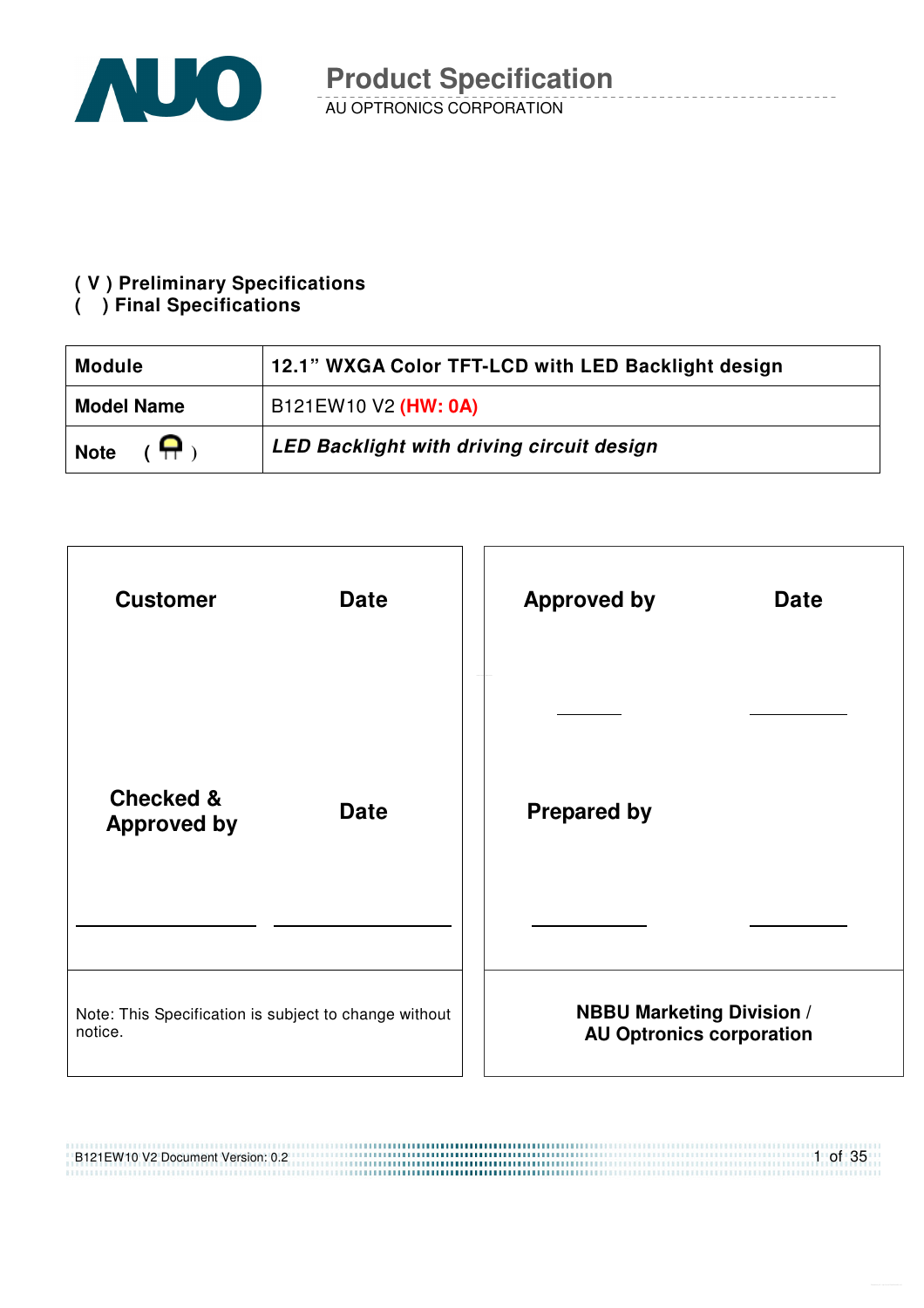

#### **( V ) Preliminary Specifications**

#### **( ) Final Specifications**

| <b>Module</b>                | 12.1" WXGA Color TFT-LCD with LED Backlight design |
|------------------------------|----------------------------------------------------|
| <b>Model Name</b>            | B121EW10 V2 (HW: 0A)                               |
| $(\bigoplus)$<br><b>Note</b> | <b>LED Backlight with driving circuit design</b>   |

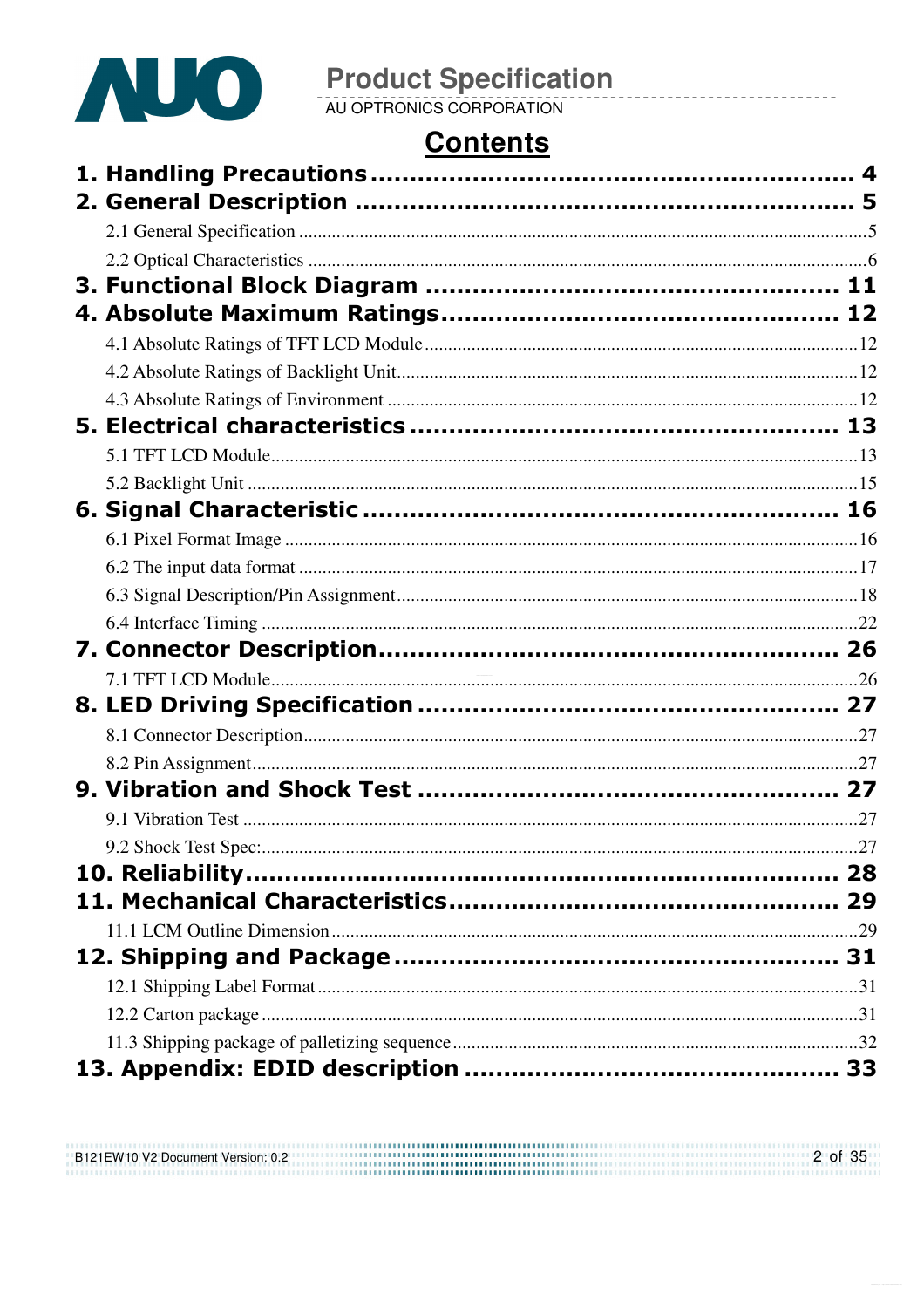

# **Contents**

| 9.2 Shock Test Spec:. |  |
|-----------------------|--|
|                       |  |
|                       |  |
|                       |  |
|                       |  |
|                       |  |
|                       |  |
|                       |  |
|                       |  |

| B121EW10 V2 Document Version: 0.2 | 2 of 35 |
|-----------------------------------|---------|
|                                   |         |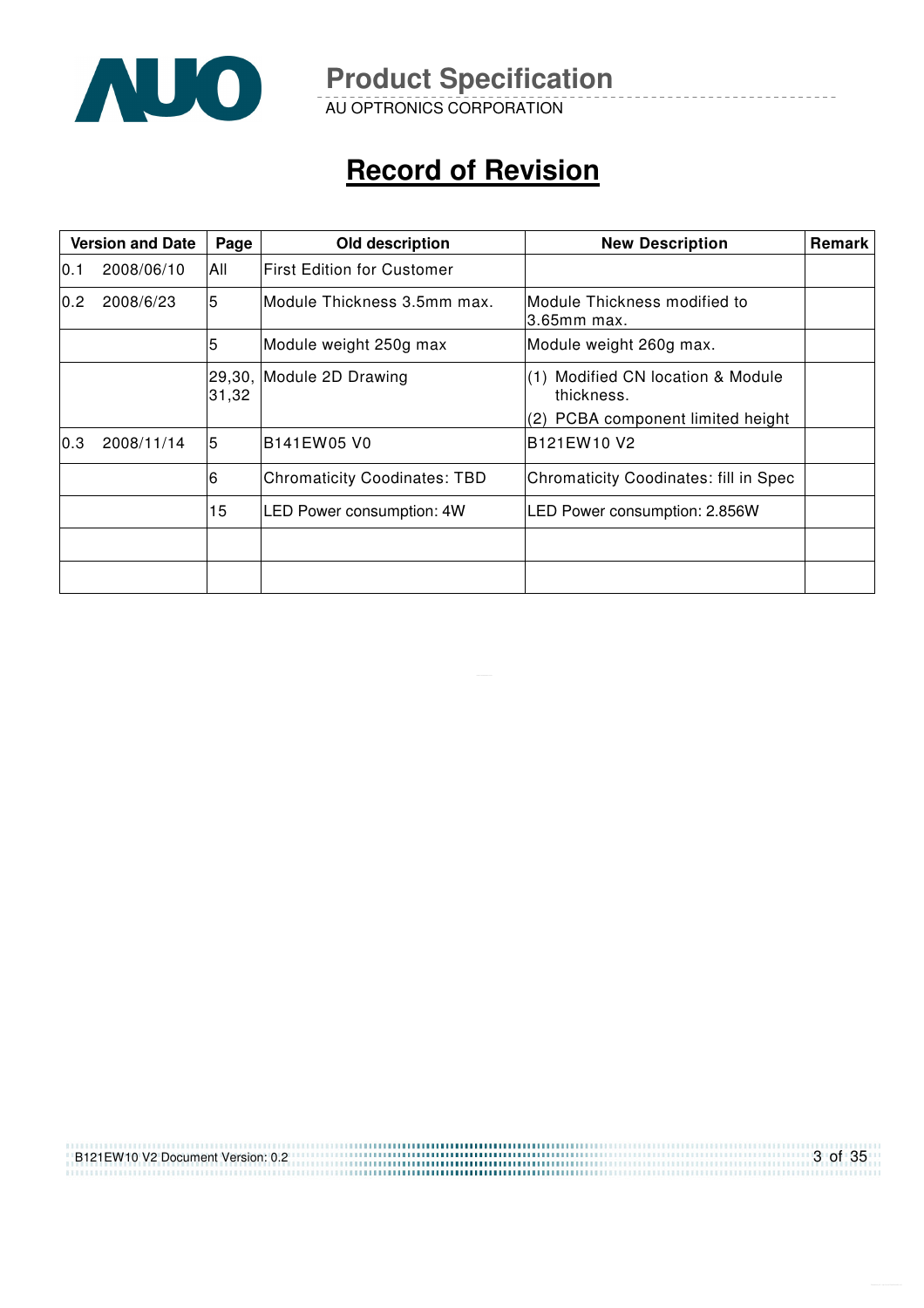

AU OPTRONICS CORPORATION

# **Record of Revision**

| <b>Version and Date</b> |            | Page            | Old description                     | <b>New Description</b>                                                               | Remark |
|-------------------------|------------|-----------------|-------------------------------------|--------------------------------------------------------------------------------------|--------|
| 10.1                    | 2008/06/10 | All             | lFirst Edition for Customer         |                                                                                      |        |
| 0.2                     | 2008/6/23  | 5               | Module Thickness 3.5mm max.         | Module Thickness modified to<br>$3.65$ mm max.                                       |        |
|                         |            | 5               | Module weight 250g max              | Module weight 260g max.                                                              |        |
|                         |            | 29,30,<br>31,32 | Module 2D Drawing                   | (1) Modified CN location & Module<br>thickness.<br>(2) PCBA component limited height |        |
| 0.3                     | 2008/11/14 | 5               | B141EW05 V0                         | B <sub>121</sub> EW <sub>10</sub> V <sub>2</sub>                                     |        |
|                         |            | 6               | <b>Chromaticity Coodinates: TBD</b> | <b>Chromaticity Coodinates: fill in Spec</b>                                         |        |
|                         |            | 15              | <b>LED Power consumption: 4W</b>    | LED Power consumption: 2.856W                                                        |        |
|                         |            |                 |                                     |                                                                                      |        |
|                         |            |                 |                                     |                                                                                      |        |

| B121EW10 V2 Document Version: 0.2 | 3 of 35 |
|-----------------------------------|---------|
|                                   |         |
|                                   |         |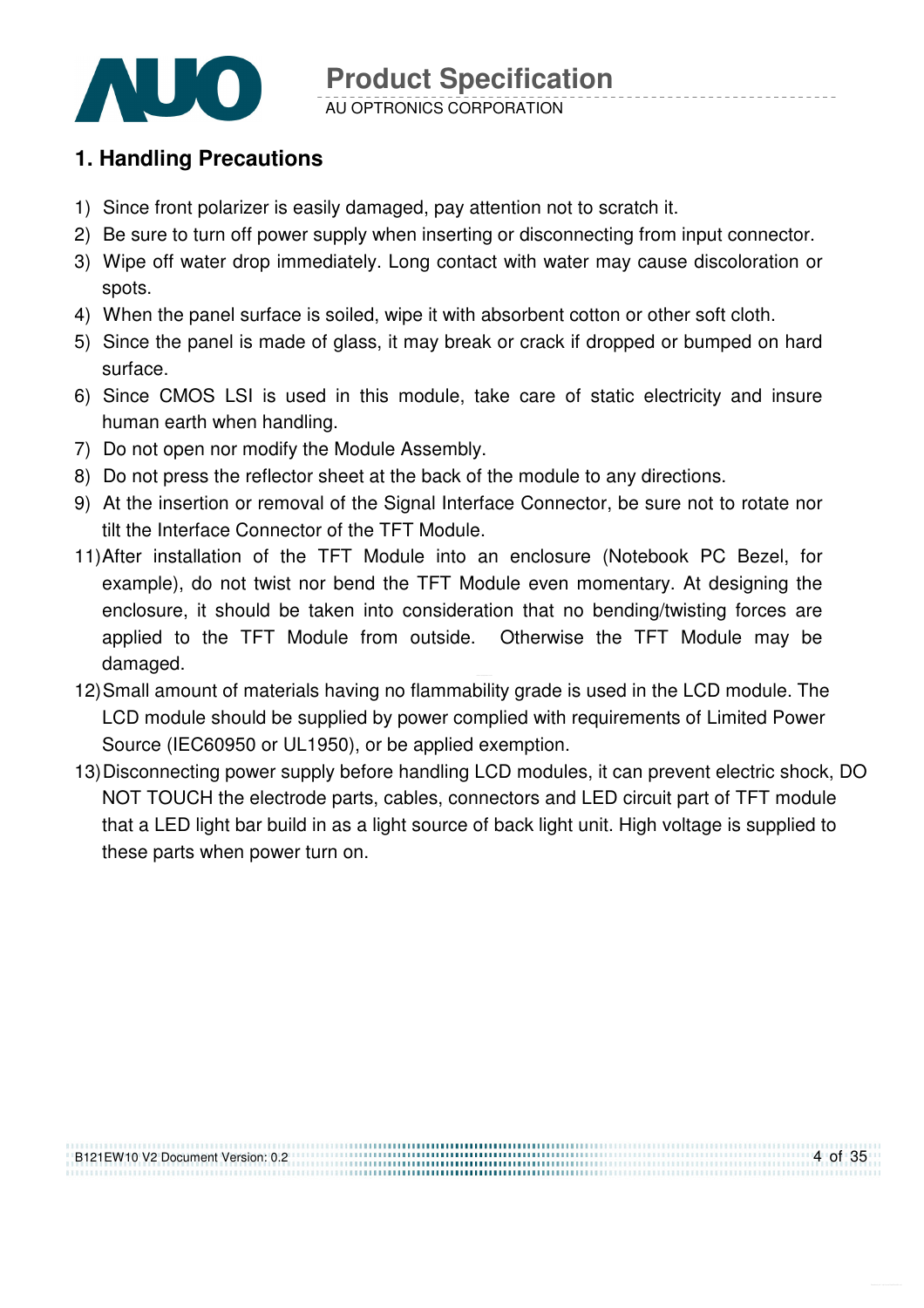

#### AU OPTRONICS CORPORATION

## **1. Handling Precautions**

- 1) Since front polarizer is easily damaged, pay attention not to scratch it.
- 2) Be sure to turn off power supply when inserting or disconnecting from input connector.
- 3) Wipe off water drop immediately. Long contact with water may cause discoloration or spots.
- 4) When the panel surface is soiled, wipe it with absorbent cotton or other soft cloth.
- 5) Since the panel is made of glass, it may break or crack if dropped or bumped on hard surface.
- 6) Since CMOS LSI is used in this module, take care of static electricity and insure human earth when handling.
- 7) Do not open nor modify the Module Assembly.
- 8) Do not press the reflector sheet at the back of the module to any directions.
- 9) At the insertion or removal of the Signal Interface Connector, be sure not to rotate nor tilt the Interface Connector of the TFT Module.
- 11) After installation of the TFT Module into an enclosure (Notebook PC Bezel, for example), do not twist nor bend the TFT Module even momentary. At designing the enclosure, it should be taken into consideration that no bending/twisting forces are applied to the TFT Module from outside. Otherwise the TFT Module may be damaged.
- 12) Small amount of materials having no flammability grade is used in the LCD module. The LCD module should be supplied by power complied with requirements of Limited Power Source (IEC60950 or UL1950), or be applied exemption.
- 13) Disconnecting power supply before handling LCD modules, it can prevent electric shock, DO NOT TOUCH the electrode parts, cables, connectors and LED circuit part of TFT module that a LED light bar build in as a light source of back light unit. High voltage is supplied to these parts when power turn on.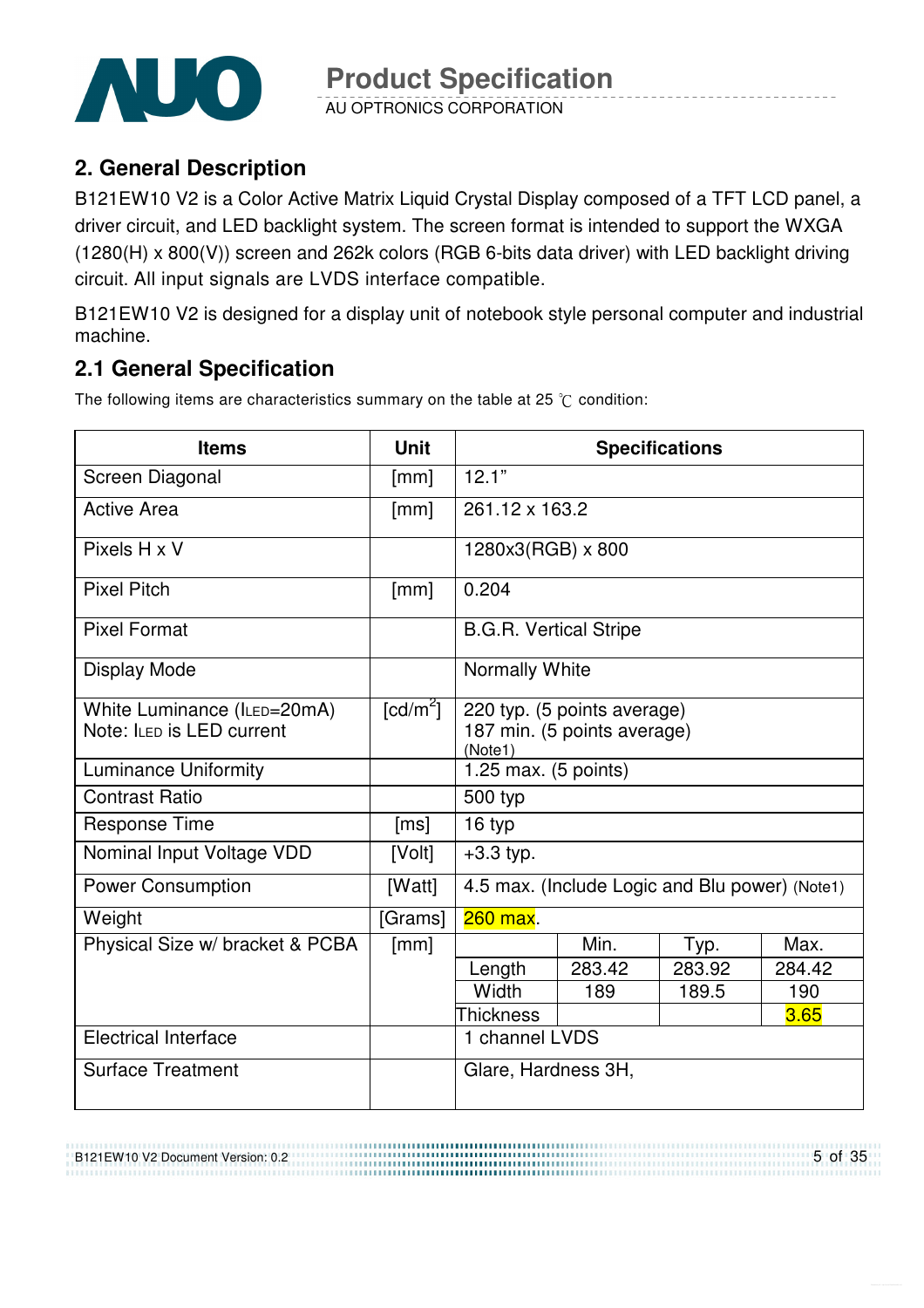

AU OPTRONICS CORPORATION

## **2. General Description**

B121EW10 V2 is a Color Active Matrix Liquid Crystal Display composed of a TFT LCD panel, a driver circuit, and LED backlight system. The screen format is intended to support the WXGA (1280(H) x 800(V)) screen and 262k colors (RGB 6-bits data driver) with LED backlight driving circuit. All input signals are LVDS interface compatible.

B121EW10 V2 is designed for a display unit of notebook style personal computer and industrial machine.

## **2.1 General Specification**

The following items are characteristics summary on the table at 25  $\degree$ C condition:

| <b>Items</b>                    | <b>Unit</b>            | <b>Specifications</b>                  |                                                |        |        |
|---------------------------------|------------------------|----------------------------------------|------------------------------------------------|--------|--------|
| Screen Diagonal                 | [mm]                   | 12.1"                                  |                                                |        |        |
| <b>Active Area</b>              | [mm]                   | 261.12 x 163.2                         |                                                |        |        |
| Pixels H x V                    |                        | 1280x3(RGB) x 800                      |                                                |        |        |
| <b>Pixel Pitch</b>              | [mm]                   | 0.204                                  |                                                |        |        |
| <b>Pixel Format</b>             |                        | <b>B.G.R. Vertical Stripe</b>          |                                                |        |        |
| <b>Display Mode</b>             |                        | Normally White                         |                                                |        |        |
| White Luminance (ILED=20mA)     | $\lceil cd/m^2 \rceil$ |                                        | 220 typ. (5 points average)                    |        |        |
| Note: ILED is LED current       |                        | 187 min. (5 points average)<br>(Note1) |                                                |        |        |
| <b>Luminance Uniformity</b>     |                        | 1.25 max. $(5 \text{ points})$         |                                                |        |        |
| <b>Contrast Ratio</b>           |                        | 500 typ                                |                                                |        |        |
| <b>Response Time</b>            | [ms]                   | 16 typ                                 |                                                |        |        |
| Nominal Input Voltage VDD       | [Volt]                 | $+3.3$ typ.                            |                                                |        |        |
| <b>Power Consumption</b>        | [Watt]                 |                                        | 4.5 max. (Include Logic and Blu power) (Note1) |        |        |
| Weight                          | [Grams]                | 260 max.                               |                                                |        |        |
| Physical Size w/ bracket & PCBA | [mm]                   |                                        | Min.                                           | Typ.   | Max.   |
|                                 |                        | Length                                 | 283.42                                         | 283.92 | 284.42 |
|                                 |                        | Width                                  | 189                                            | 189.5  | 190    |
|                                 |                        | <b>Thickness</b>                       |                                                |        | 3.65   |
| <b>Electrical Interface</b>     | 1 channel LVDS         |                                        |                                                |        |        |
| <b>Surface Treatment</b>        |                        | Glare, Hardness 3H,                    |                                                |        |        |

B121EW10 V2 Document Version: 0.2

5 of 35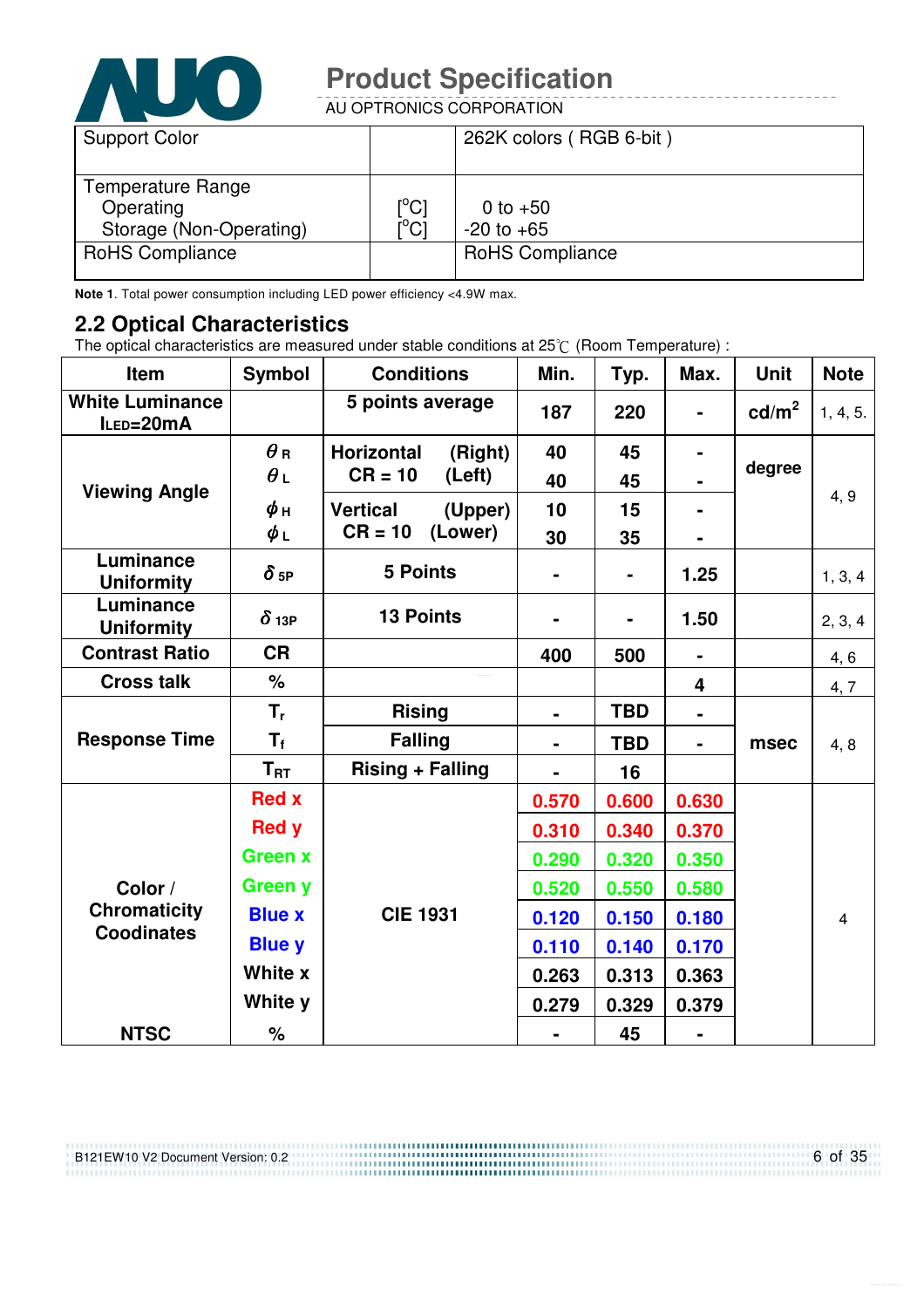

AU OPTRONICS CORPORATION

| <b>Support Color</b>                                      |                                                             | 262K colors (RGB 6-bit)      |
|-----------------------------------------------------------|-------------------------------------------------------------|------------------------------|
| Temperature Range<br>Operating<br>Storage (Non-Operating) | $\mathop{\rm l\hspace{0.05cm}}\nolimits^{\circ}$ Cl<br>i°ci | 0 to $+50$<br>$-20$ to $+65$ |
| <b>RoHS Compliance</b>                                    |                                                             | <b>RoHS Compliance</b>       |

**Note 1**. Total power consumption including LED power efficiency <4.9W max.

#### **2.2 Optical Characteristics**

The optical characteristics are measured under stable conditions at 25 $\degree$  (Room Temperature) :

| Item                                | <b>Symbol</b>          | <b>Conditions</b>          | Min.           | Typ.           | Max.                    | <b>Unit</b>     | <b>Note</b>    |
|-------------------------------------|------------------------|----------------------------|----------------|----------------|-------------------------|-----------------|----------------|
| <b>White Luminance</b><br>ILED=20mA |                        | 5 points average           | 187            | 220            |                         | $\text{cd/m}^2$ | 1, 4, 5.       |
|                                     | $\theta$ R             | Horizontal<br>(Right)      | 40             | 45             |                         |                 |                |
| <b>Viewing Angle</b>                | $\theta_L$             | $CR = 10$<br>(Left)        | 40             | 45             |                         | degree          |                |
|                                     | $\phi$ н               | <b>Vertical</b><br>(Upper) | 10             | 15             |                         |                 | 4, 9           |
|                                     | $\phi_L$               | (Lower)<br>$CR = 10$       | 30             | 35             |                         |                 |                |
| Luminance<br><b>Uniformity</b>      | $\delta$ <sub>5P</sub> | <b>5 Points</b>            |                | $\blacksquare$ | 1.25                    |                 | 1, 3, 4        |
| Luminance<br><b>Uniformity</b>      | $\delta$ 13P           | <b>13 Points</b>           |                |                | 1.50                    |                 | 2, 3, 4        |
| <b>Contrast Ratio</b>               | <b>CR</b>              |                            | 400            | 500            | $\blacksquare$          |                 | 4, 6           |
| <b>Cross talk</b>                   | $\%$                   |                            |                |                | $\overline{\mathbf{4}}$ |                 | 4, 7           |
|                                     | $T_{r}$                | <b>Rising</b>              | $\blacksquare$ | <b>TBD</b>     |                         |                 |                |
| <b>Response Time</b>                | $T_f$                  | <b>Falling</b>             |                | <b>TBD</b>     | $\blacksquare$          | msec            | 4, 8           |
|                                     | $T_{\rm RT}$           | <b>Rising + Falling</b>    |                | 16             |                         |                 |                |
|                                     | <b>Red x</b>           |                            | 0.570          | 0.600          | 0.630                   |                 |                |
|                                     | <b>Red y</b>           |                            | 0.310          | 0.340          | 0.370                   |                 |                |
|                                     | <b>Green x</b>         |                            |                | 0.320          | 0.350                   |                 |                |
| Color /                             | <b>Green y</b>         |                            | 0.520          | 0.550          | 0.580                   |                 |                |
| <b>Chromaticity</b>                 | <b>Blue x</b>          | <b>CIE 1931</b>            | 0.120          | 0.150          | 0.180                   |                 | $\overline{4}$ |
| <b>Coodinates</b>                   | <b>Blue y</b>          |                            | 0.110          | 0.140          | 0.170                   |                 |                |
|                                     | White x                |                            | 0.263          | 0.313          | 0.363                   |                 |                |
|                                     | White y                |                            | 0.279          | 0.329          | 0.379                   |                 |                |
| <b>NTSC</b>                         | $\%$                   |                            |                | 45             | $\blacksquare$          |                 |                |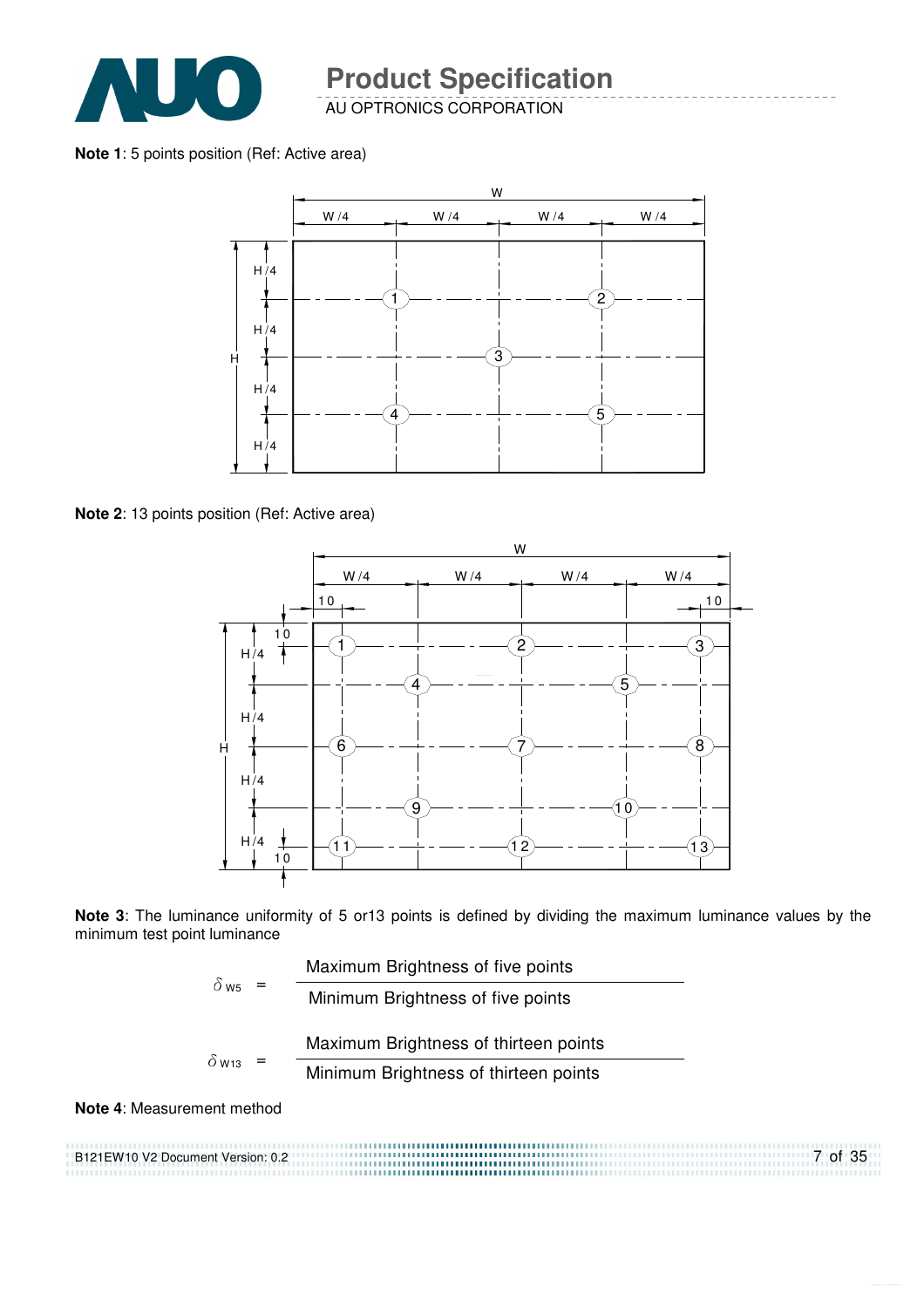

AU OPTRONICS CORPORATION

**Note 1**: 5 points position (Ref: Active area)



**Note 2**: 13 points position (Ref: Active area)



**Note 3**: The luminance uniformity of 5 or13 points is defined by dividing the maximum luminance values by the minimum test point luminance

| $\delta$ ws              |  | Maximum Brightness of five points     |
|--------------------------|--|---------------------------------------|
|                          |  | Minimum Brightness of five points     |
|                          |  | Maximum Brightness of thirteen points |
| $\delta$ W <sub>13</sub> |  | Minimum Brightness of thirteen points |
|                          |  |                                       |

**Note 4**: Measurement method

B121EW10 V2 Document Version: 0.2 7 of 35 ,,,,,,,,,,,,,,,,,,,,,,,,,,,,,,,,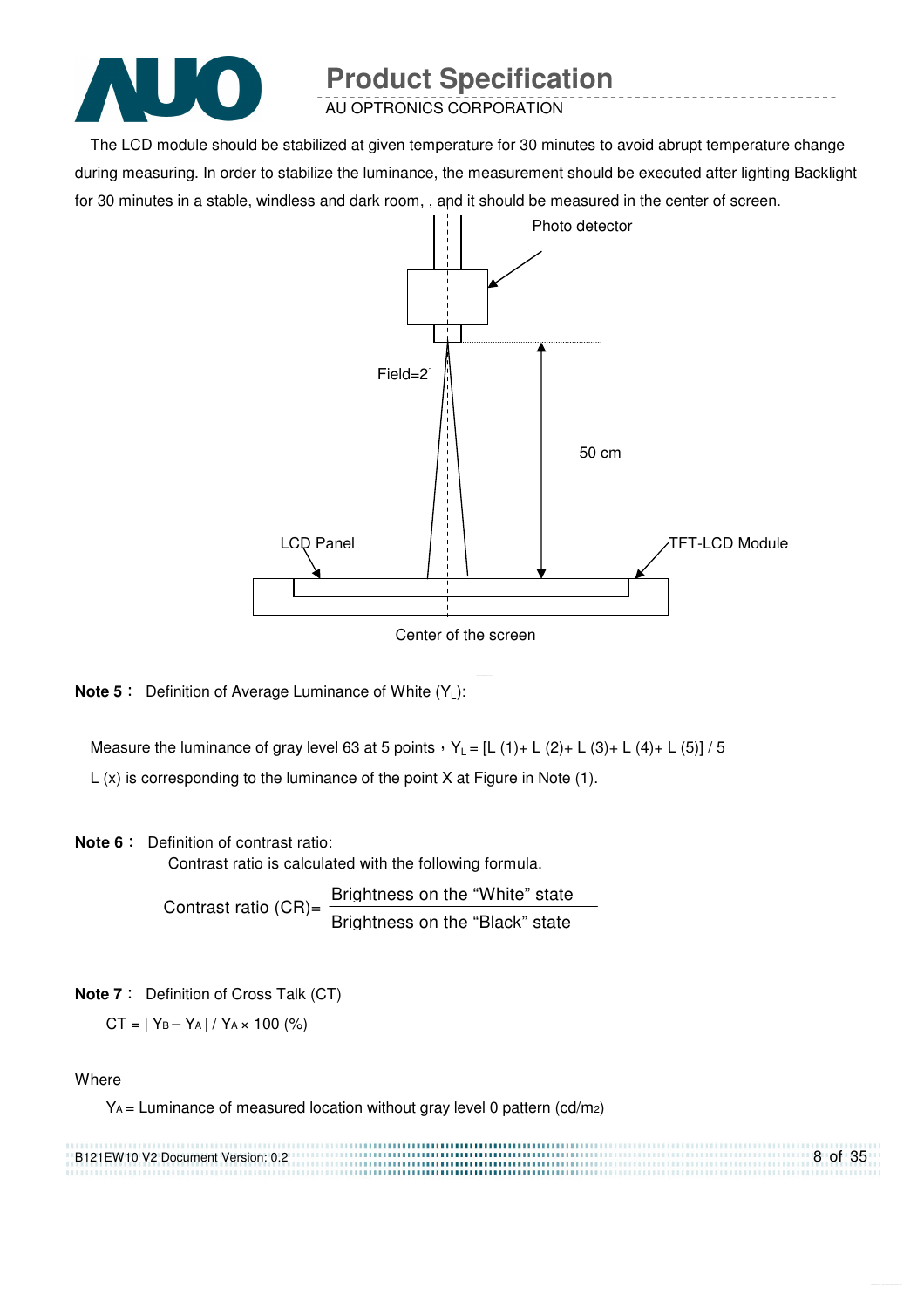

AU OPTRONICS CORPORATION

The LCD module should be stabilized at given temperature for 30 minutes to avoid abrupt temperature change during measuring. In order to stabilize the luminance, the measurement should be executed after lighting Backlight for 30 minutes in a stable, windless and dark room, , and it should be measured in the center of screen.



Center of the screen

**Note 5** : Definition of Average Luminance of White (Y<sub>L</sub>):

Measure the luminance of gray level 63 at 5 points  $Y_L = [L (1) + L (2) + L (3) + L (4) + L (5)] / 5$ L (x) is corresponding to the luminance of the point X at Figure in Note (1).

#### **Note 6** : Definition of contrast ratio:

Contrast ratio is calculated with the following formula.

Contrast ratio  $(CR)$ = Brightness on the "White" state Brightness on the "Black" state

**Note 7** : Definition of Cross Talk (CT)

 $CT = |Y_B - Y_A| / Y_A \times 100$  (%)

#### **Where**

YA = Luminance of measured location without gray level 0 pattern (cd/m2)

| B121EW10 V2 Document Version: 0.2 | 8 of 35 |
|-----------------------------------|---------|
|                                   |         |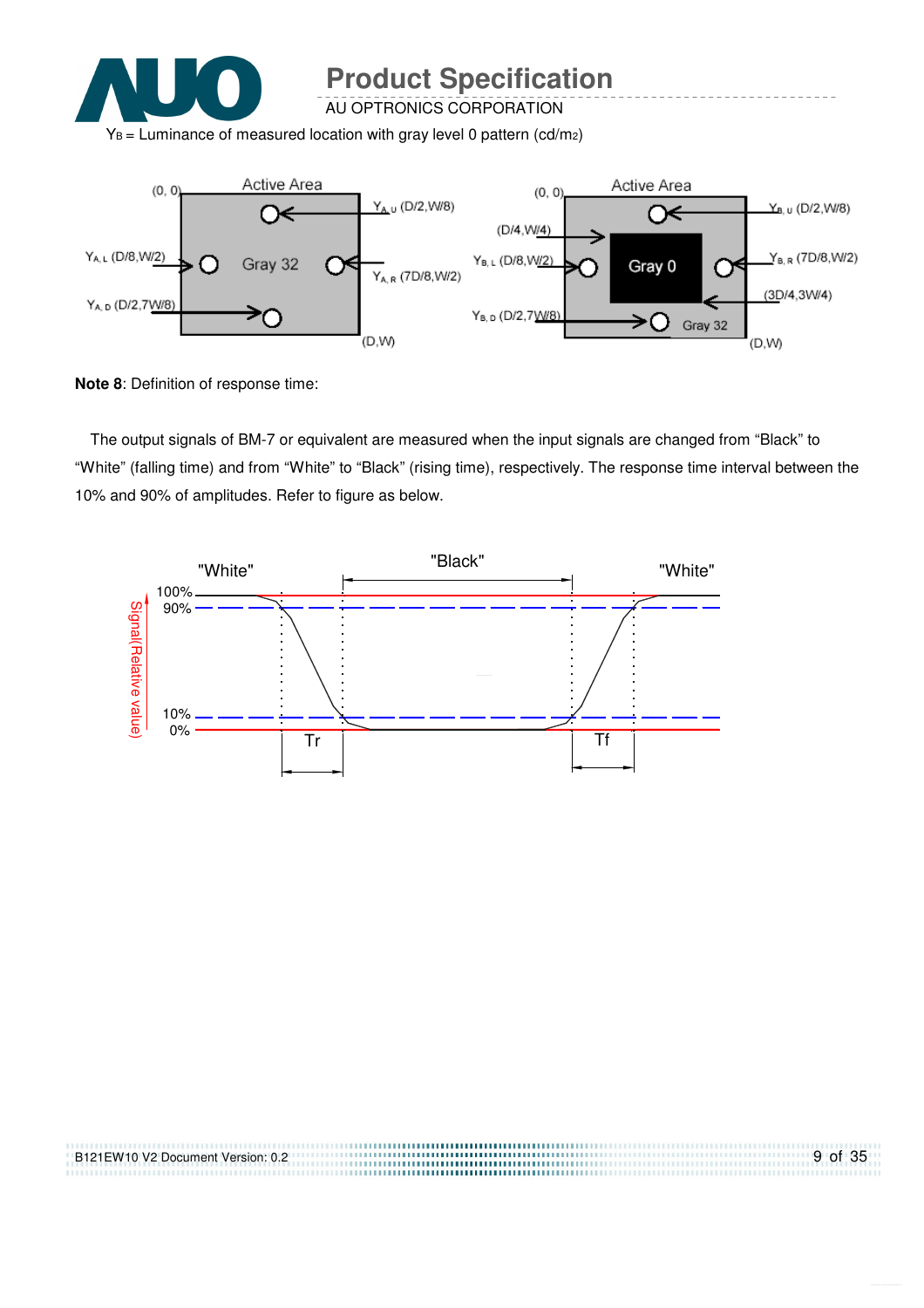

AU OPTRONICS CORPORATION

 $Y_B$  = Luminance of measured location with gray level 0 pattern (cd/m<sub>2</sub>)



**Note 8**: Definition of response time:

The output signals of BM-7 or equivalent are measured when the input signals are changed from "Black" to "White" (falling time) and from "White" to "Black" (rising time), respectively. The response time interval between the 10% and 90% of amplitudes. Refer to figure as below.



| B121EW10 V2 Document Version: 0.2 | 9 of 35 |
|-----------------------------------|---------|
|                                   |         |
|                                   |         |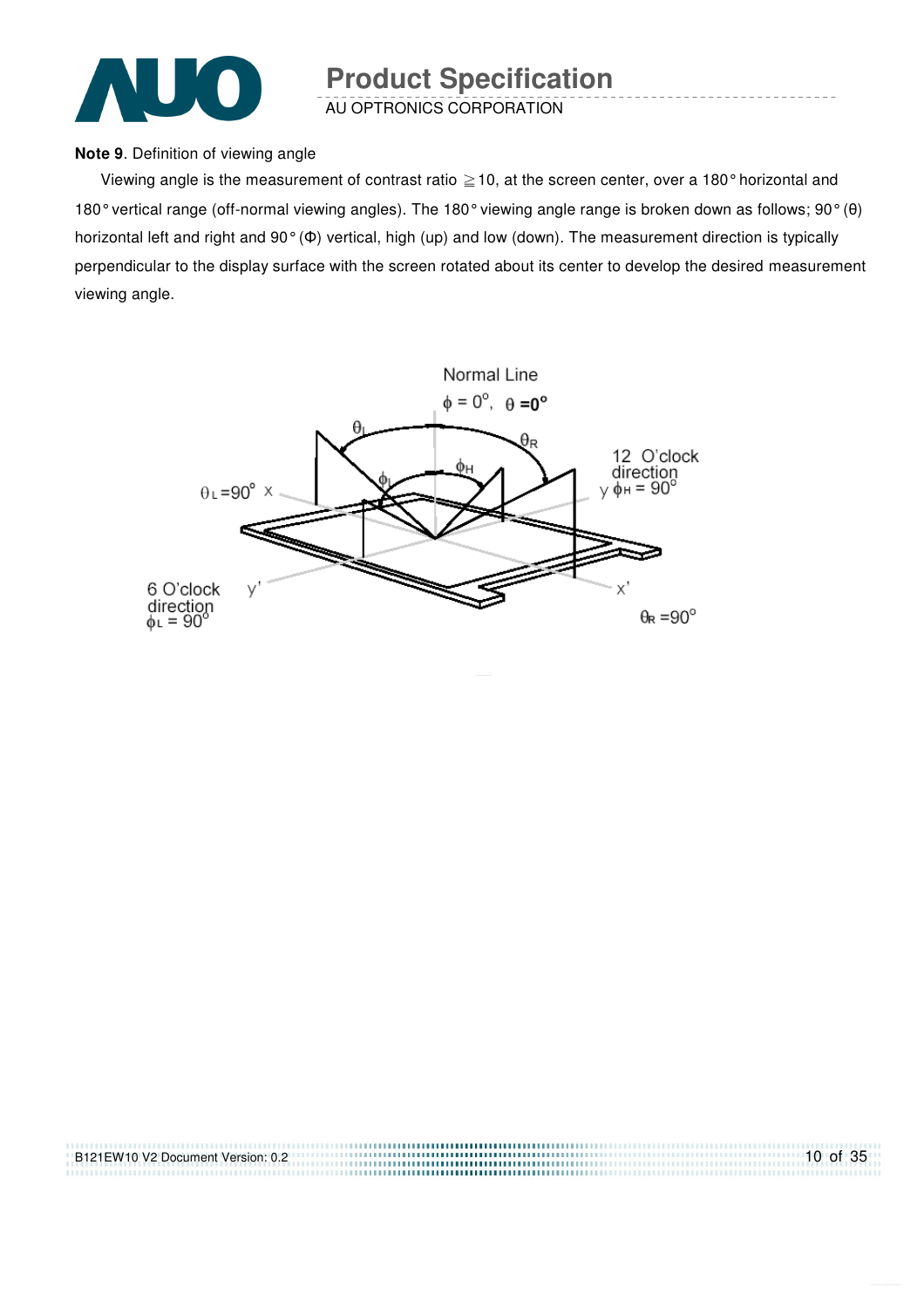

AU OPTRONICS CORPORATION

#### **Note 9**. Definition of viewing angle

Viewing angle is the measurement of contrast ratio  $\geq$  10, at the screen center, over a 180° horizontal and 180° vertical range (off-normal viewing angles). The 180° viewing angle range is broken down as follows; 90° (θ) horizontal left and right and 90° (Φ) vertical, high (up) and low (down). The measurement direction is typically perpendicular to the display surface with the screen rotated about its center to develop the desired measurement viewing angle.



| B121EW10 V2 Document Version: 0.2 | $10$ of 35 |
|-----------------------------------|------------|
|                                   |            |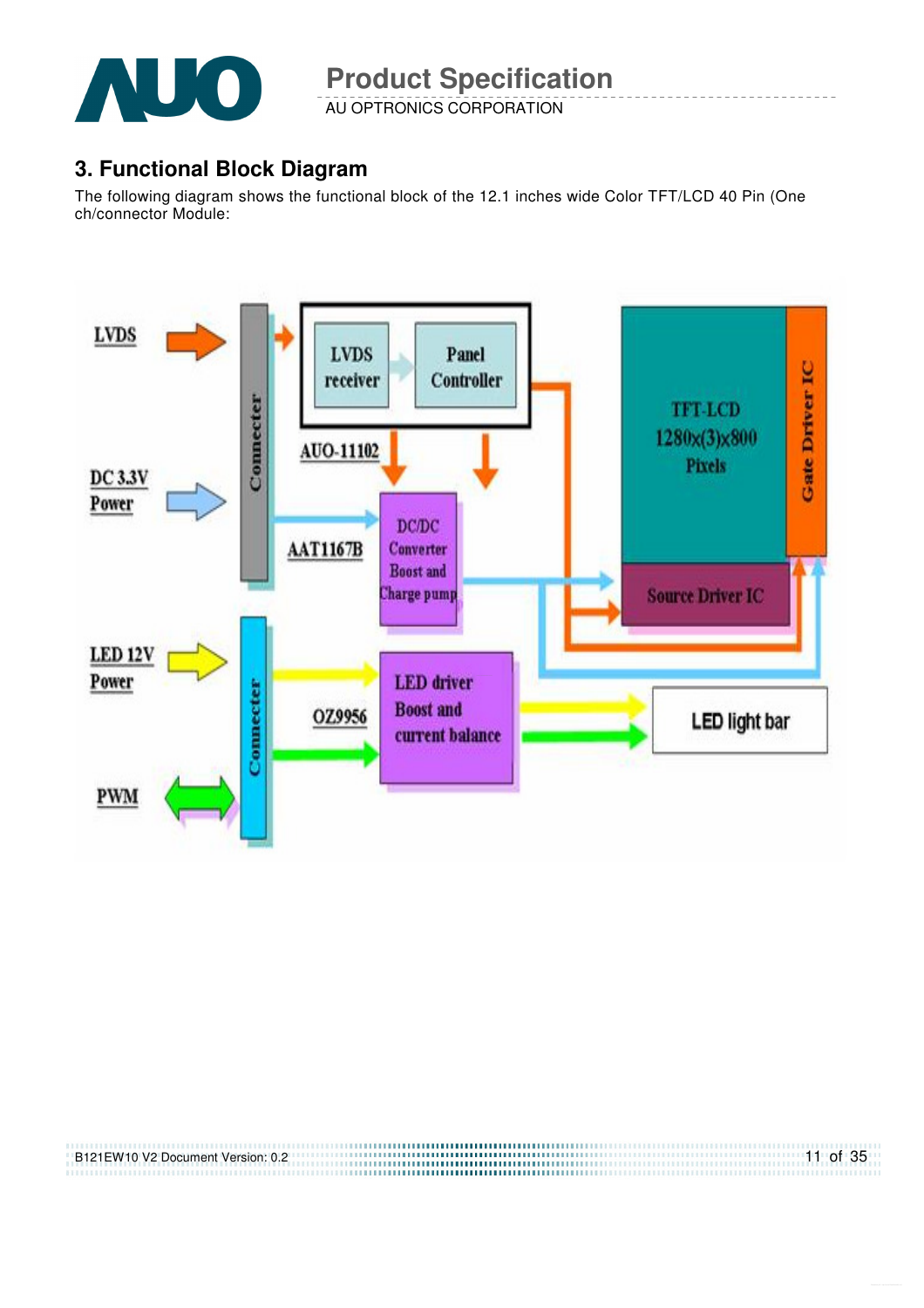

AU OPTRONICS CORPORATION

## **3. Functional Block Diagram**

The following diagram shows the functional block of the 12.1 inches wide Color TFT/LCD 40 Pin (One ch/connector Module:



| B121EW10 V2 Document Version: 0.2 | $11$ of 35 |
|-----------------------------------|------------|
|                                   |            |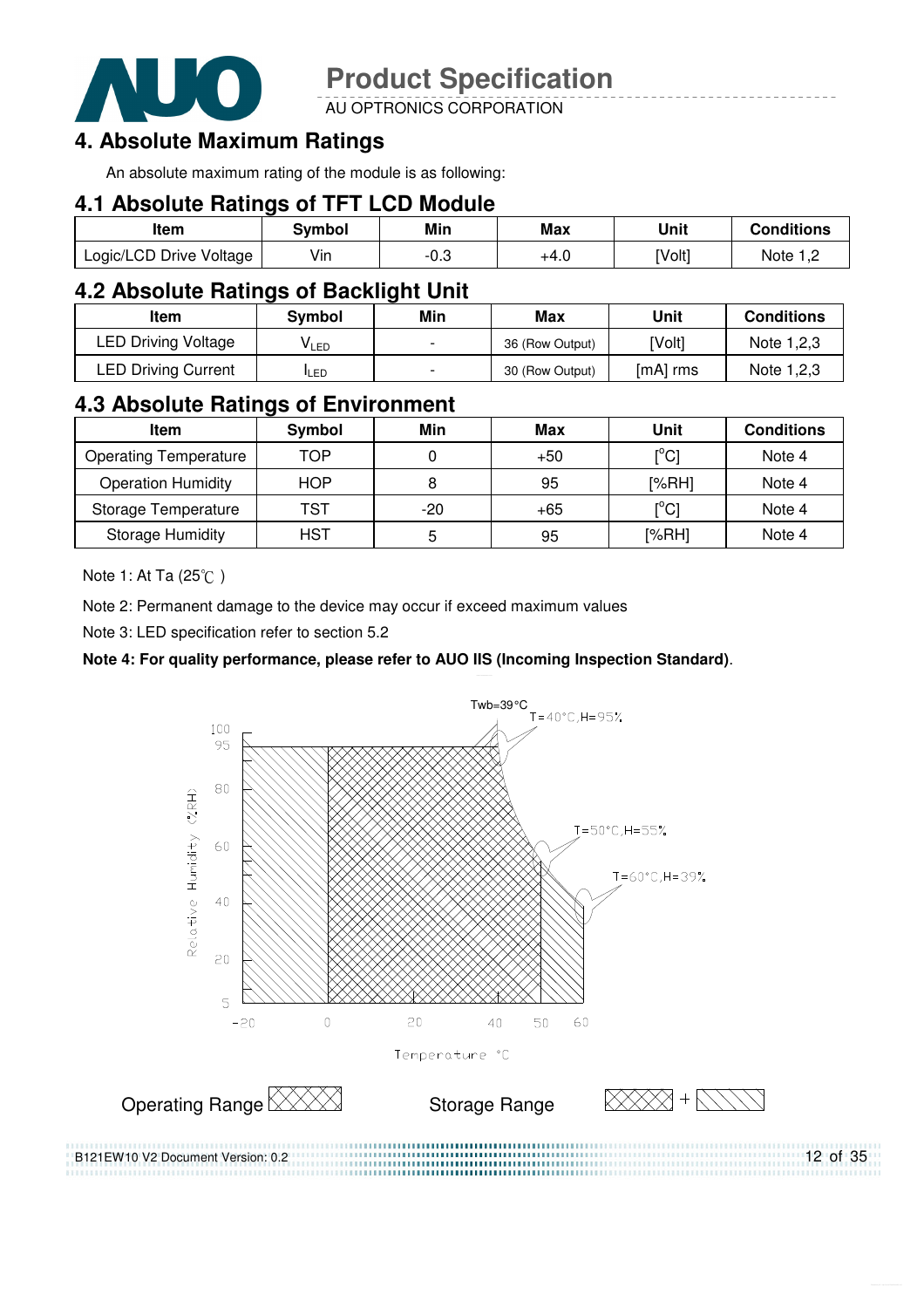

AU OPTRONICS CORPORATION

#### **4. Absolute Maximum Ratings**

An absolute maximum rating of the module is as following:

#### **4.1 Absolute Ratings of TFT LCD Module**

| ltem                    | Svmbol | Min         | Max  | Unit   | <b>Conditions</b> |
|-------------------------|--------|-------------|------|--------|-------------------|
| Logic/LCD Drive Voltage | Vin    | ∩ ∂<br>ن.∪- | +4.0 | [Volt] | Note              |

#### **4.2 Absolute Ratings of Backlight Unit**

| Item                       | Svmbol     | Min                      | Max             | Unit     | <b>Conditions</b> |
|----------------------------|------------|--------------------------|-----------------|----------|-------------------|
| <b>LED Driving Voltage</b> | VLED       |                          | 36 (Row Output) | [Volt]   | Note 1,2,3        |
| <b>LED Driving Current</b> | <b>LED</b> | $\overline{\phantom{0}}$ | 30 (Row Output) | [mA] rms | Note 1,2,3        |

#### **4.3 Absolute Ratings of Environment**

| <b>Item</b>                  | Symbol     | Min | Max   | Unit                           | <b>Conditions</b> |
|------------------------------|------------|-----|-------|--------------------------------|-------------------|
| <b>Operating Temperature</b> | TOP        |     | $+50$ | $\mathop{\rm l}{\rm c}{\rm l}$ | Note 4            |
| <b>Operation Humidity</b>    | <b>HOP</b> | 8   | 95    | [%RH]                          | Note 4            |
| Storage Temperature          | TST        | -20 | $+65$ | $\mathop{\rm l}{\rm ^oC}$      | Note 4            |
| <b>Storage Humidity</b>      | HST        | 5   | 95    | [%RH]                          | Note 4            |

Note 1: At Ta (25°C)

Note 2: Permanent damage to the device may occur if exceed maximum values

Note 3: LED specification refer to section 5.2

#### **Note 4: For quality performance, please refer to AUO IIS (Incoming Inspection Standard)**.

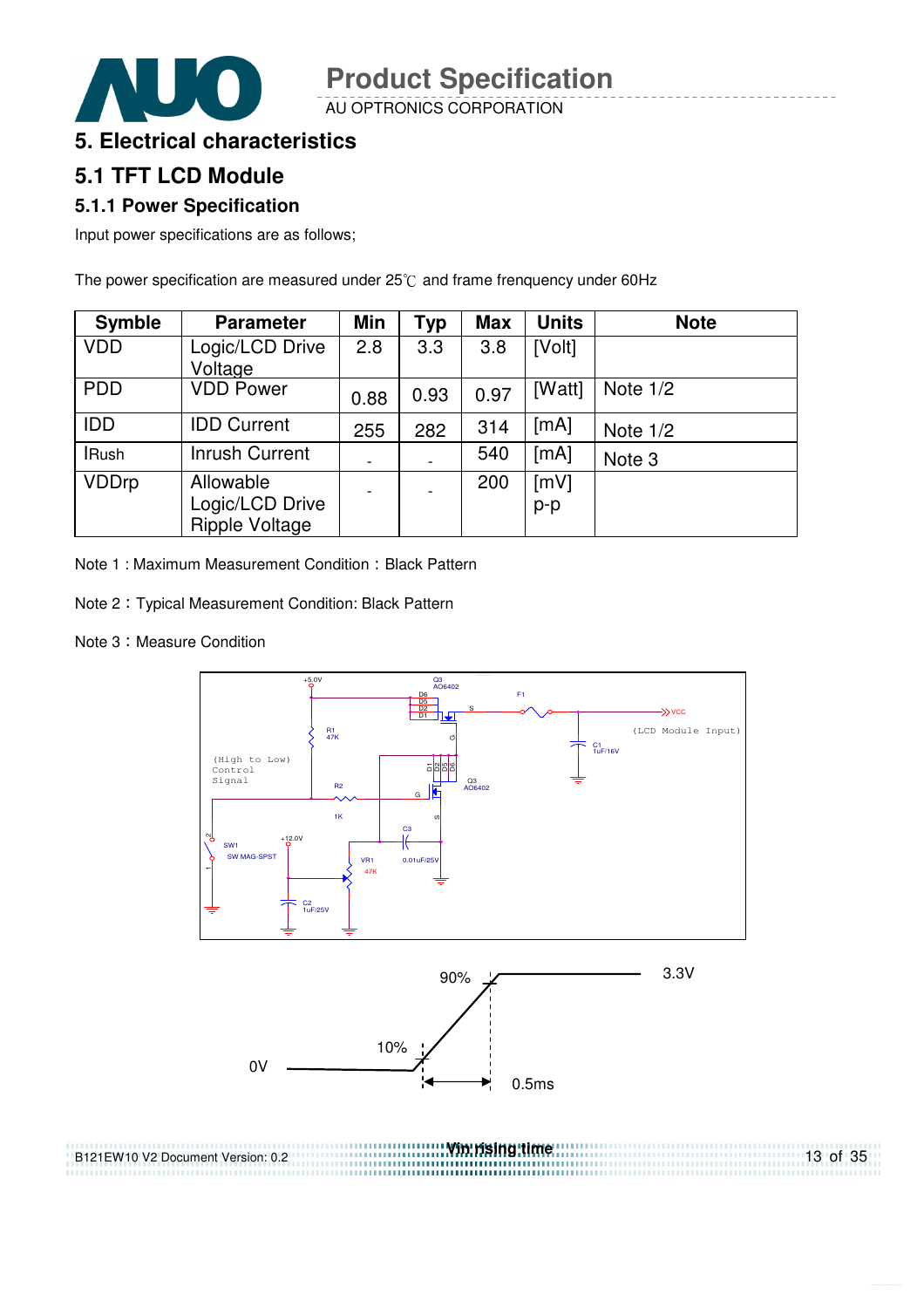AU OPTRONICS CORPORATION

#### **5. Electrical characteristics**

## **5.1 TFT LCD Module**

#### **5.1.1 Power Specification**

Input power specifications are as follows;

The power specification are measured under  $25^{\circ}$ C and frame frenquency under 60Hz

| <b>Symble</b> | <b>Parameter</b>                               | <b>Min</b>               | <b>Typ</b> | <b>Max</b> | <b>Units</b> | <b>Note</b>       |
|---------------|------------------------------------------------|--------------------------|------------|------------|--------------|-------------------|
| <b>VDD</b>    | Logic/LCD Drive<br>Voltage                     | 2.8                      | 3.3        | 3.8        | [Volt]       |                   |
| <b>PDD</b>    | <b>VDD Power</b>                               | 0.88                     | 0.93       | 0.97       | [Watt]       | Note $1/2$        |
| <b>IDD</b>    | <b>IDD Current</b>                             | 255                      | 282        | 314        | [mA]         | Note $1/2$        |
| <b>IRush</b>  | <b>Inrush Current</b>                          | $\overline{\phantom{a}}$ |            | 540        | [mA]         | Note <sub>3</sub> |
| <b>VDDrp</b>  | Allowable<br>Logic/LCD Drive<br>Ripple Voltage | $\blacksquare$           |            | 200        | [mV]<br>p-p  |                   |

Note 1 : Maximum Measurement Condition : Black Pattern

- Note 2 Typical Measurement Condition: Black Pattern
- Note 3: Measure Condition



13 of 35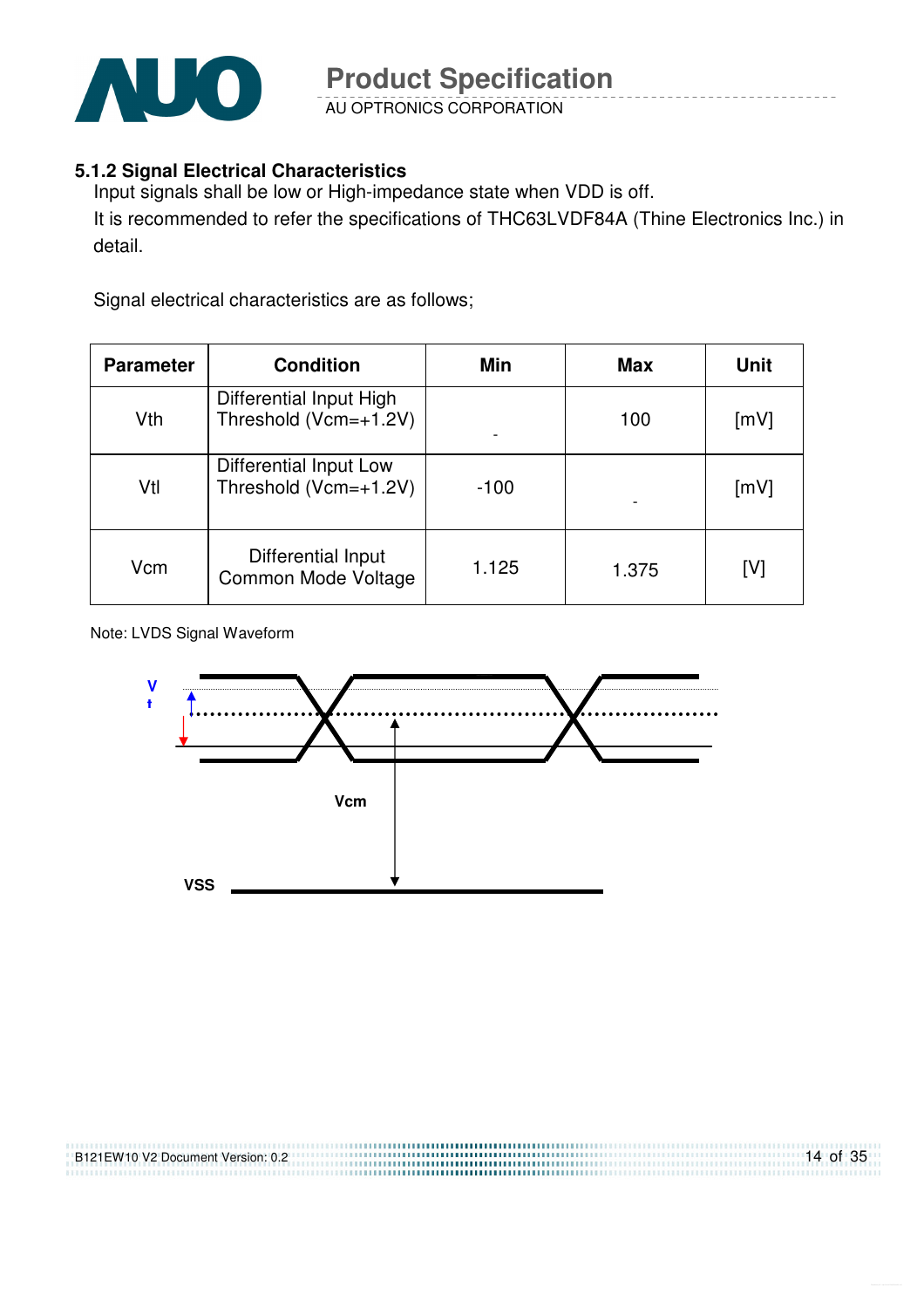

AU OPTRONICS CORPORATION

#### **5.1.2 Signal Electrical Characteristics**

Input signals shall be low or High-impedance state when VDD is off. It is recommended to refer the specifications of THC63LVDF84A (Thine Electronics Inc.) in detail.

Signal electrical characteristics are as follows;

| <b>Parameter</b> | <b>Condition</b>                                 | Min    | <b>Max</b> | <b>Unit</b> |
|------------------|--------------------------------------------------|--------|------------|-------------|
| Vth              | Differential Input High<br>Threshold (Vcm=+1.2V) |        | 100        | [mV]        |
| Vtl              | Differential Input Low<br>Threshold (Vcm=+1.2V)  | $-100$ |            | [mV]        |
| Vcm              | Differential Input<br>Common Mode Voltage        | 1.125  | 1.375      | [V]         |

Note: LVDS Signal Waveform

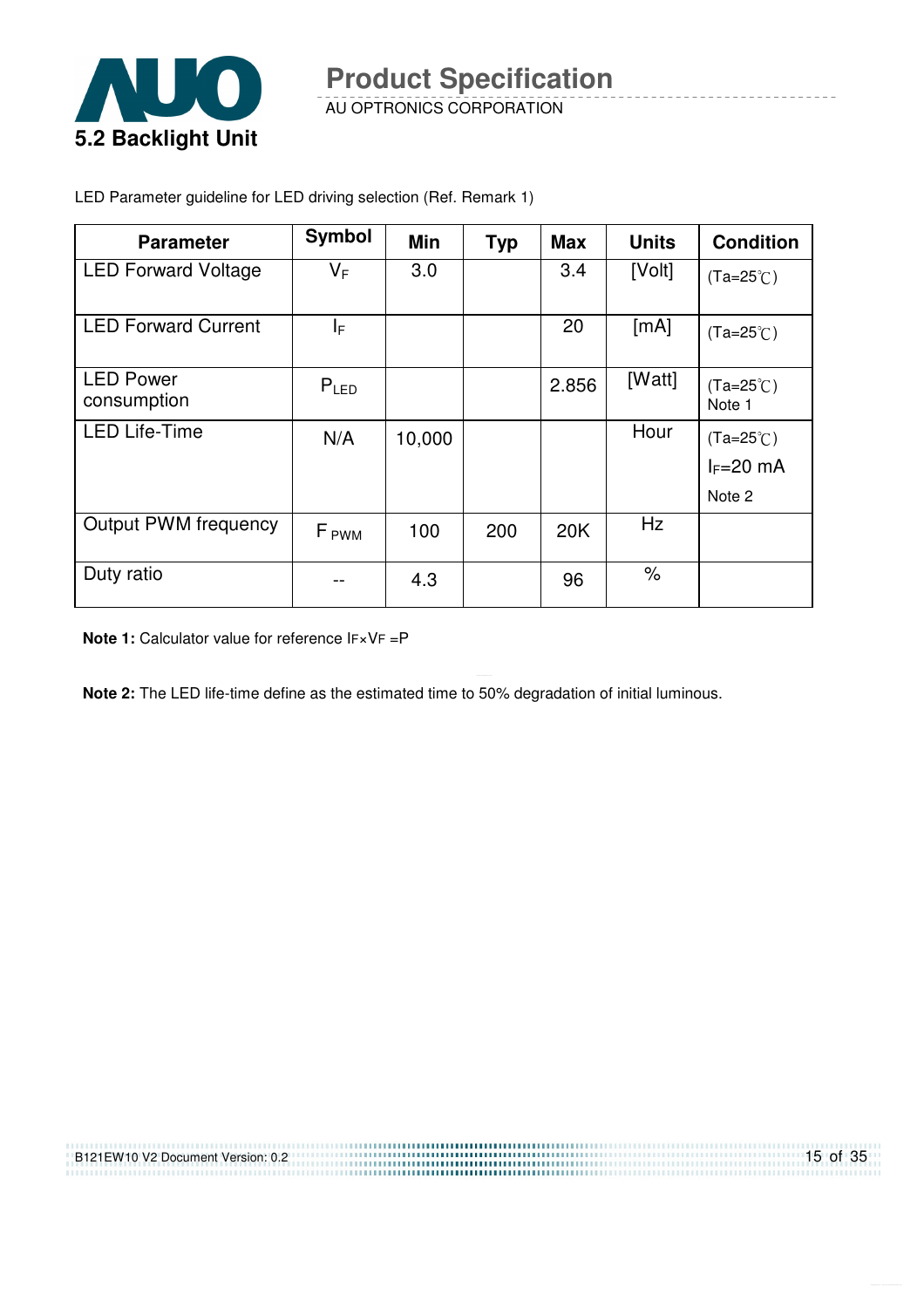

AU OPTRONICS CORPORATION

| <b>Parameter</b>                | <b>Symbol</b>    | <b>Min</b> | <b>Typ</b> | <b>Max</b> | <b>Units</b> | <b>Condition</b>             |
|---------------------------------|------------------|------------|------------|------------|--------------|------------------------------|
| <b>LED Forward Voltage</b>      | $V_F$            | 3.0        |            | 3.4        | [Volt]       | $(Ta=25^{\circ}C)$           |
| <b>LED Forward Current</b>      | ΙF               |            |            | 20         | [mA]         | $(Ta=25^{\circ}C)$           |
| <b>LED Power</b><br>consumption | $P_{LED}$        |            |            | 2.856      | [Watt]       | $(Ta=25^{\circ}C)$<br>Note 1 |
| <b>LED Life-Time</b>            | N/A              | 10,000     |            |            | Hour         | $(Ta=25^{\circ}C)$           |
|                                 |                  |            |            |            |              | $I_F=20$ mA                  |
|                                 |                  |            |            |            |              | Note 2                       |
| <b>Output PWM frequency</b>     | F <sub>PWM</sub> | 100        | 200        | 20K        | Hz           |                              |
| Duty ratio                      |                  | 4.3        |            | 96         | $\%$         |                              |

LED Parameter guideline for LED driving selection (Ref. Remark 1)

**Note 1:** Calculator value for reference IF×VF =P

**Note 2:** The LED life-time define as the estimated time to 50% degradation of initial luminous.

.......................

| B121EW10 V2 Document Version: 0.2 |  |
|-----------------------------------|--|
|                                   |  |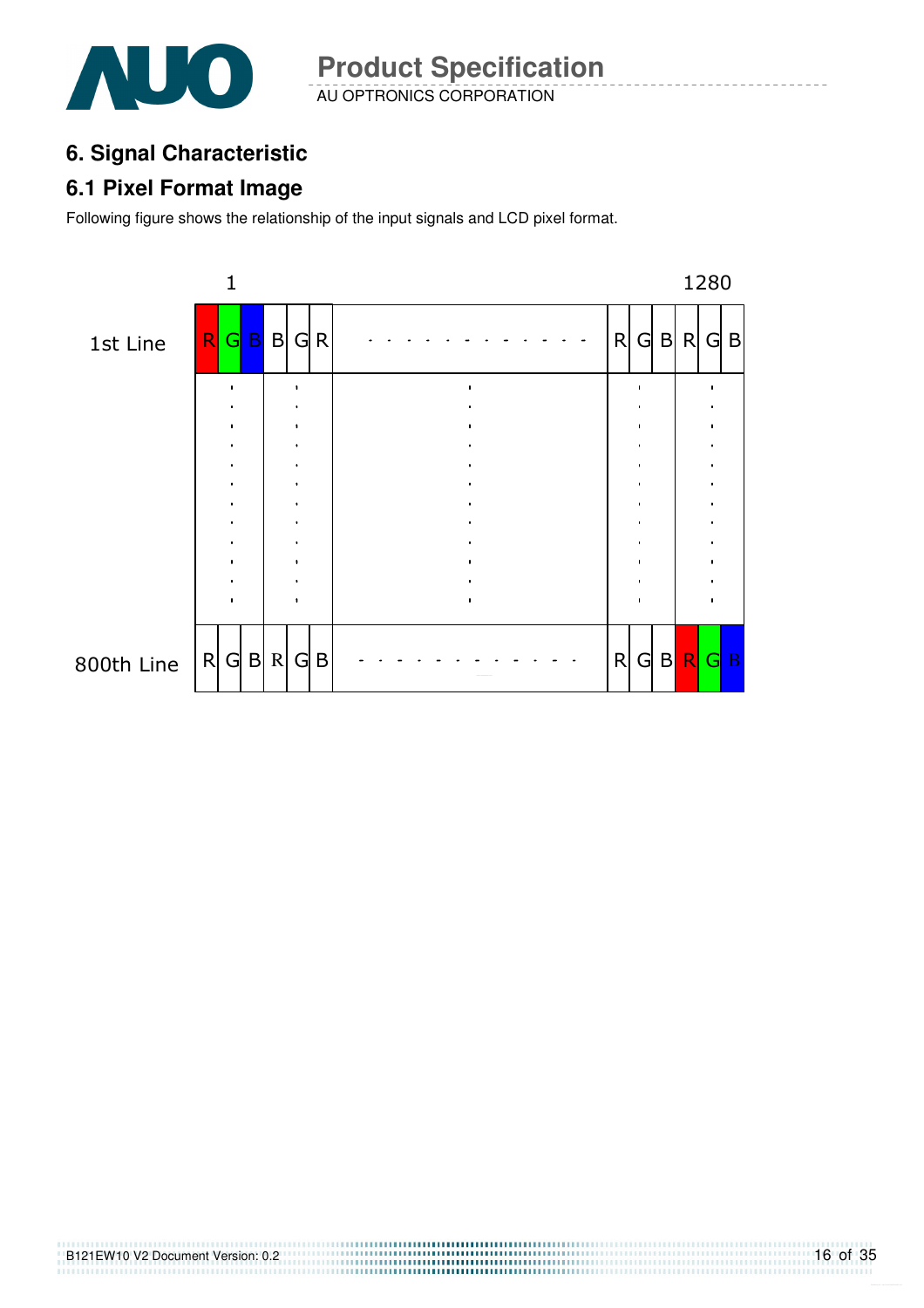

AU OPTRONICS CORPORATION **Product Specification** 

## **6. Signal Characteristic**

#### **6.1 Pixel Format Image**

Following figure shows the relationship of the input signals and LCD pixel format.

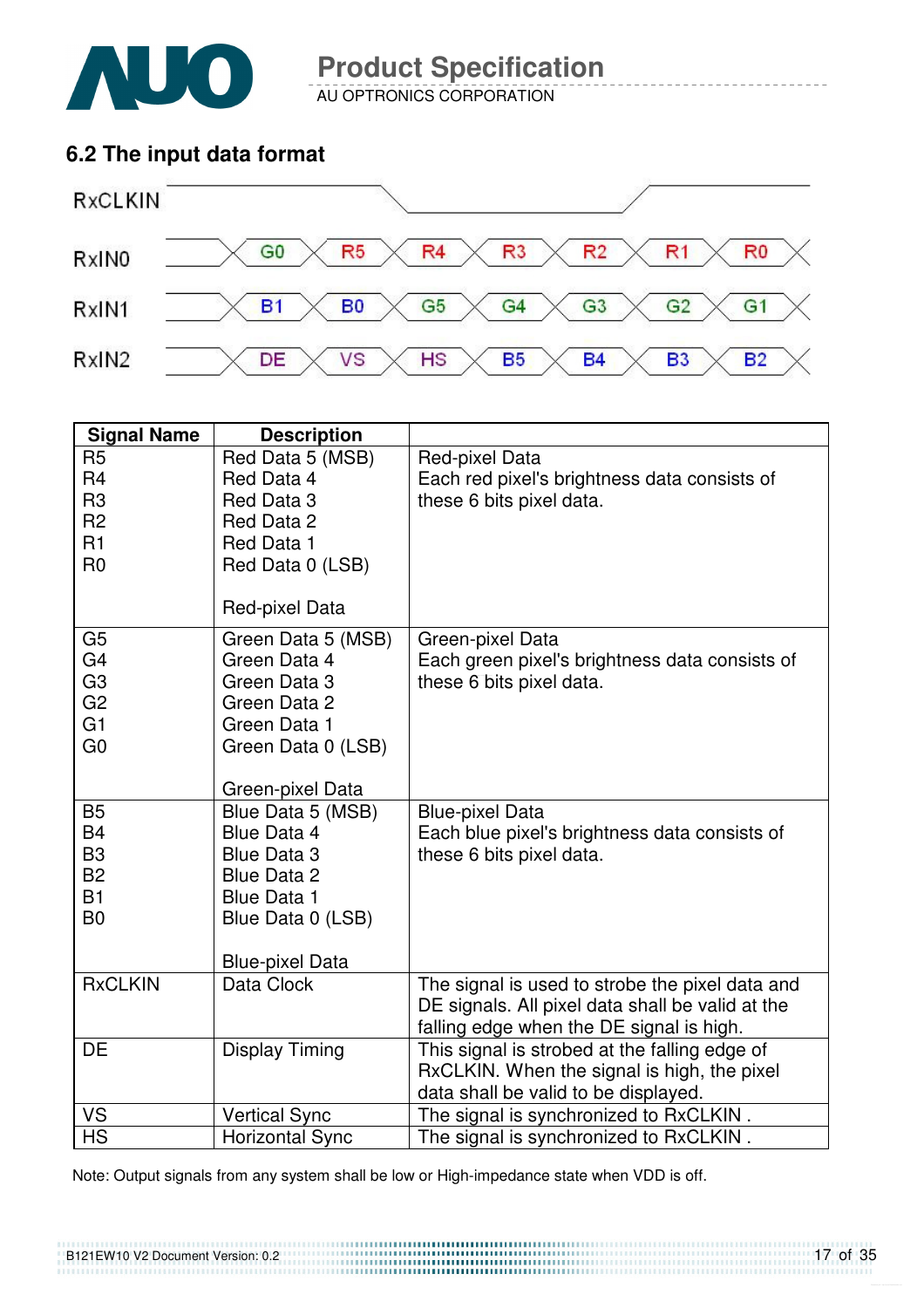

AU OPTRONICS CORPORATION

### **6.2 The input data format**



| <b>Signal Name</b>                                                                           | <b>Description</b>                                                                                                                                |                                                                                                                                                 |
|----------------------------------------------------------------------------------------------|---------------------------------------------------------------------------------------------------------------------------------------------------|-------------------------------------------------------------------------------------------------------------------------------------------------|
| R <sub>5</sub><br>R <sub>4</sub><br>R <sub>3</sub><br>R <sub>2</sub><br>R1<br>R <sub>0</sub> | Red Data 5 (MSB)<br>Red Data 4<br>Red Data 3<br>Red Data 2<br>Red Data 1<br>Red Data 0 (LSB)<br>Red-pixel Data                                    | Red-pixel Data<br>Each red pixel's brightness data consists of<br>these 6 bits pixel data.                                                      |
| G <sub>5</sub><br>G4<br>G <sub>3</sub><br>G <sub>2</sub><br>G1<br>G <sub>0</sub>             | Green Data 5 (MSB)<br>Green Data 4<br>Green Data 3<br>Green Data 2<br>Green Data 1<br>Green Data 0 (LSB)<br>Green-pixel Data                      | Green-pixel Data<br>Each green pixel's brightness data consists of<br>these 6 bits pixel data.                                                  |
| <b>B5</b><br><b>B4</b><br>B <sub>3</sub><br><b>B2</b><br>B1<br>B <sub>0</sub>                | Blue Data 5 (MSB)<br><b>Blue Data 4</b><br><b>Blue Data 3</b><br>Blue Data 2<br><b>Blue Data 1</b><br>Blue Data 0 (LSB)<br><b>Blue-pixel Data</b> | <b>Blue-pixel Data</b><br>Each blue pixel's brightness data consists of<br>these 6 bits pixel data.                                             |
| <b>RxCLKIN</b>                                                                               | Data Clock                                                                                                                                        | The signal is used to strobe the pixel data and<br>DE signals. All pixel data shall be valid at the<br>falling edge when the DE signal is high. |
| <b>DE</b>                                                                                    | <b>Display Timing</b>                                                                                                                             | This signal is strobed at the falling edge of<br>RxCLKIN. When the signal is high, the pixel<br>data shall be valid to be displayed.            |
| VS                                                                                           | <b>Vertical Sync</b>                                                                                                                              | The signal is synchronized to RxCLKIN.                                                                                                          |
| <b>HS</b>                                                                                    | <b>Horizontal Sync</b>                                                                                                                            | The signal is synchronized to RxCLKIN.                                                                                                          |

Note: Output signals from any system shall be low or High-impedance state when VDD is off.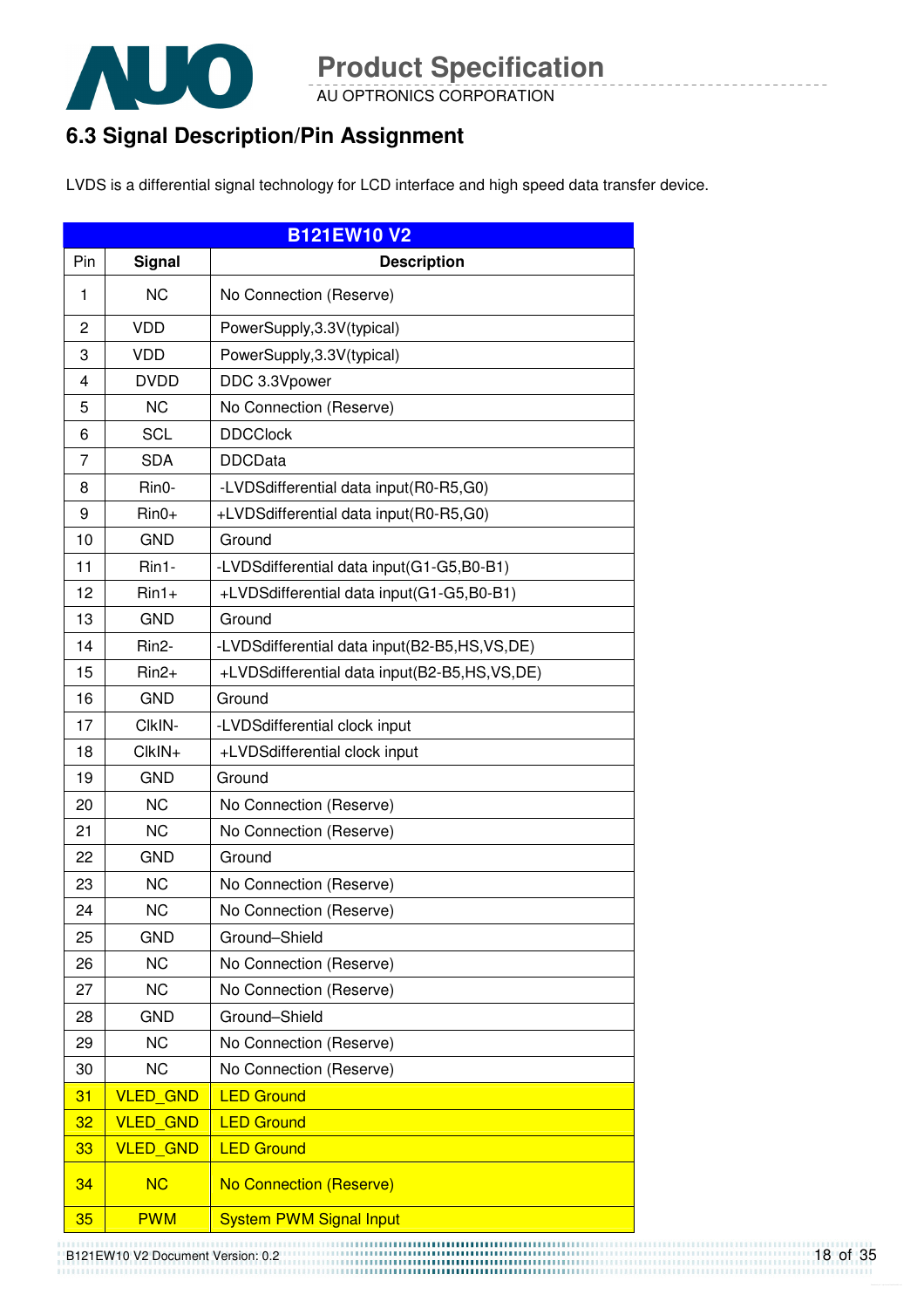

AU OPTRONICS CORPORATION

## **6.3 Signal Description/Pin Assignment**

LVDS is a differential signal technology for LCD interface and high speed data transfer device.

|     |                 | <b>B121EW10 V2</b>                           |
|-----|-----------------|----------------------------------------------|
| Pin | <b>Signal</b>   | <b>Description</b>                           |
| 1   | <b>NC</b>       | No Connection (Reserve)                      |
| 2   | <b>VDD</b>      | PowerSupply, 3.3V(typical)                   |
| 3   | <b>VDD</b>      | PowerSupply, 3.3V(typical)                   |
| 4   | <b>DVDD</b>     | DDC 3.3Vpower                                |
| 5   | <b>NC</b>       | No Connection (Reserve)                      |
| 6   | <b>SCL</b>      | <b>DDCClock</b>                              |
| 7   | <b>SDA</b>      | <b>DDCData</b>                               |
| 8   | Rin0-           | -LVDSdifferential data input(R0-R5,G0)       |
| 9   | $Rin0+$         | +LVDSdifferential data input(R0-R5,G0)       |
| 10  | <b>GND</b>      | Ground                                       |
| 11  | Rin1-           | -LVDSdifferential data input(G1-G5,B0-B1)    |
| 12  | $Rin1+$         | +LVDSdifferential data input(G1-G5,B0-B1)    |
| 13  | <b>GND</b>      | Ground                                       |
| 14  | Rin2-           | -LVDSdifferential data input(B2-B5,HS,VS,DE) |
| 15  | $Rin2+$         | +LVDSdifferential data input(B2-B5,HS,VS,DE) |
| 16  | <b>GND</b>      | Ground                                       |
| 17  | CIkIN-          | -LVDSdifferential clock input                |
| 18  | CIkIN+          | +LVDSdifferential clock input                |
| 19  | <b>GND</b>      | Ground                                       |
| 20  | <b>NC</b>       | No Connection (Reserve)                      |
| 21  | <b>NC</b>       | No Connection (Reserve)                      |
| 22  | <b>GND</b>      | Ground                                       |
| 23  | <b>NC</b>       | No Connection (Reserve)                      |
| 24  | <b>NC</b>       | No Connection (Reserve)                      |
| 25  | <b>GND</b>      | Ground-Shield                                |
| 26  | <b>NC</b>       | No Connection (Reserve)                      |
| 27  | <b>NC</b>       | No Connection (Reserve)                      |
| 28  | <b>GND</b>      | Ground-Shield                                |
| 29  | <b>NC</b>       | No Connection (Reserve)                      |
| 30  | <b>NC</b>       | No Connection (Reserve)                      |
| 31  | <b>VLED GND</b> | <b>LED Ground</b>                            |
| 32  | <b>VLED GND</b> | <b>LED Ground</b>                            |
| 33  | <b>VLED GND</b> | <b>LED Ground</b>                            |
| 34  | <b>NC</b>       | No Connection (Reserve)                      |
| 35  | <b>PWM</b>      | <b>System PWM Signal Input</b>               |

B121EW10 V2 Document Version: 0.2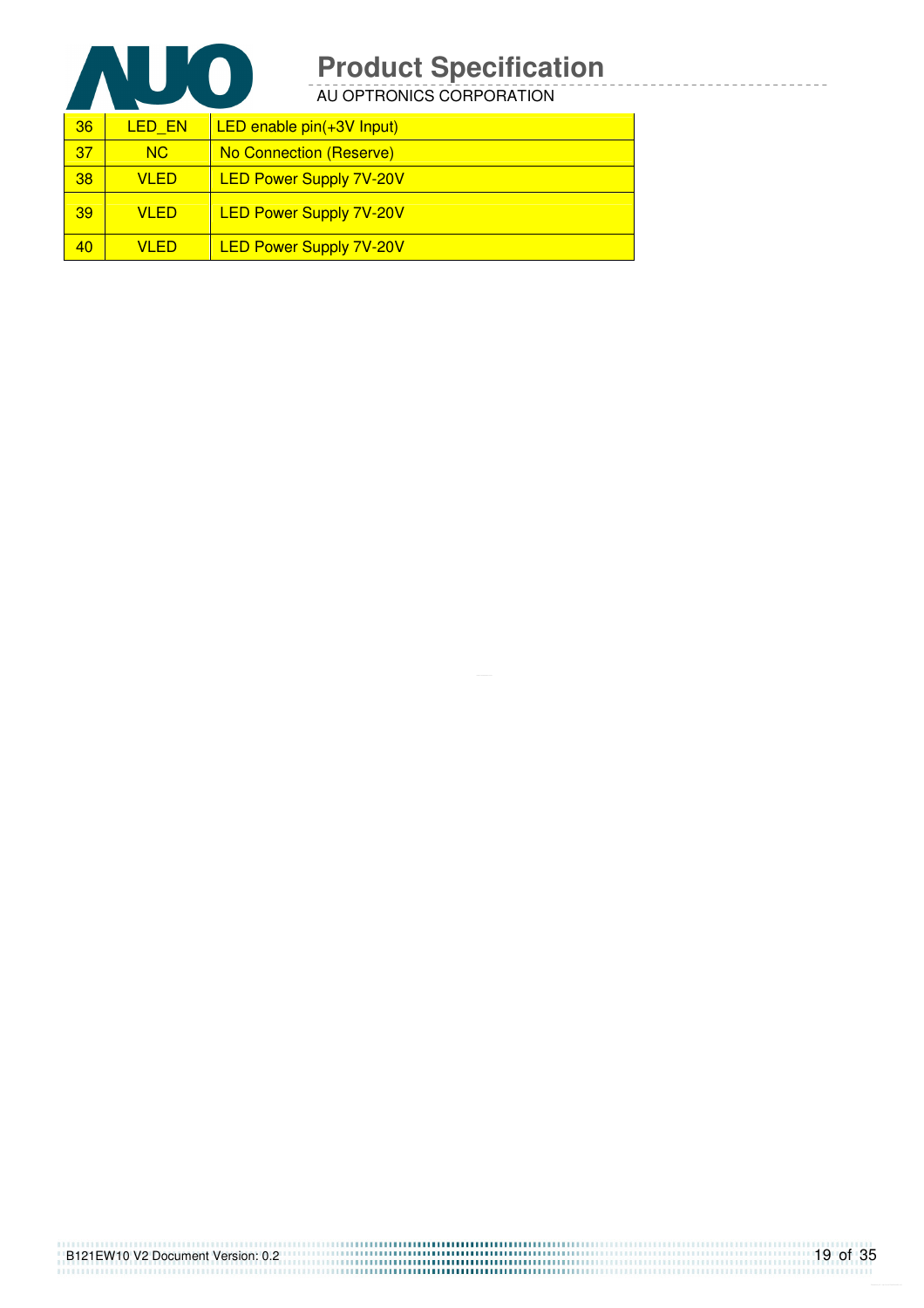

AU OPTRONICS CORPORATION

| 36 | LED EN      | LED enable $pin(+3V$ Input)    |
|----|-------------|--------------------------------|
| 37 | NC.         | No Connection (Reserve)        |
| 38 | VI FD.      | <b>LED Power Supply 7V-20V</b> |
| 39 | <b>VLED</b> | <b>LED Power Supply 7V-20V</b> |
| 40 | VI ED.      | <b>LED Power Supply 7V-20V</b> |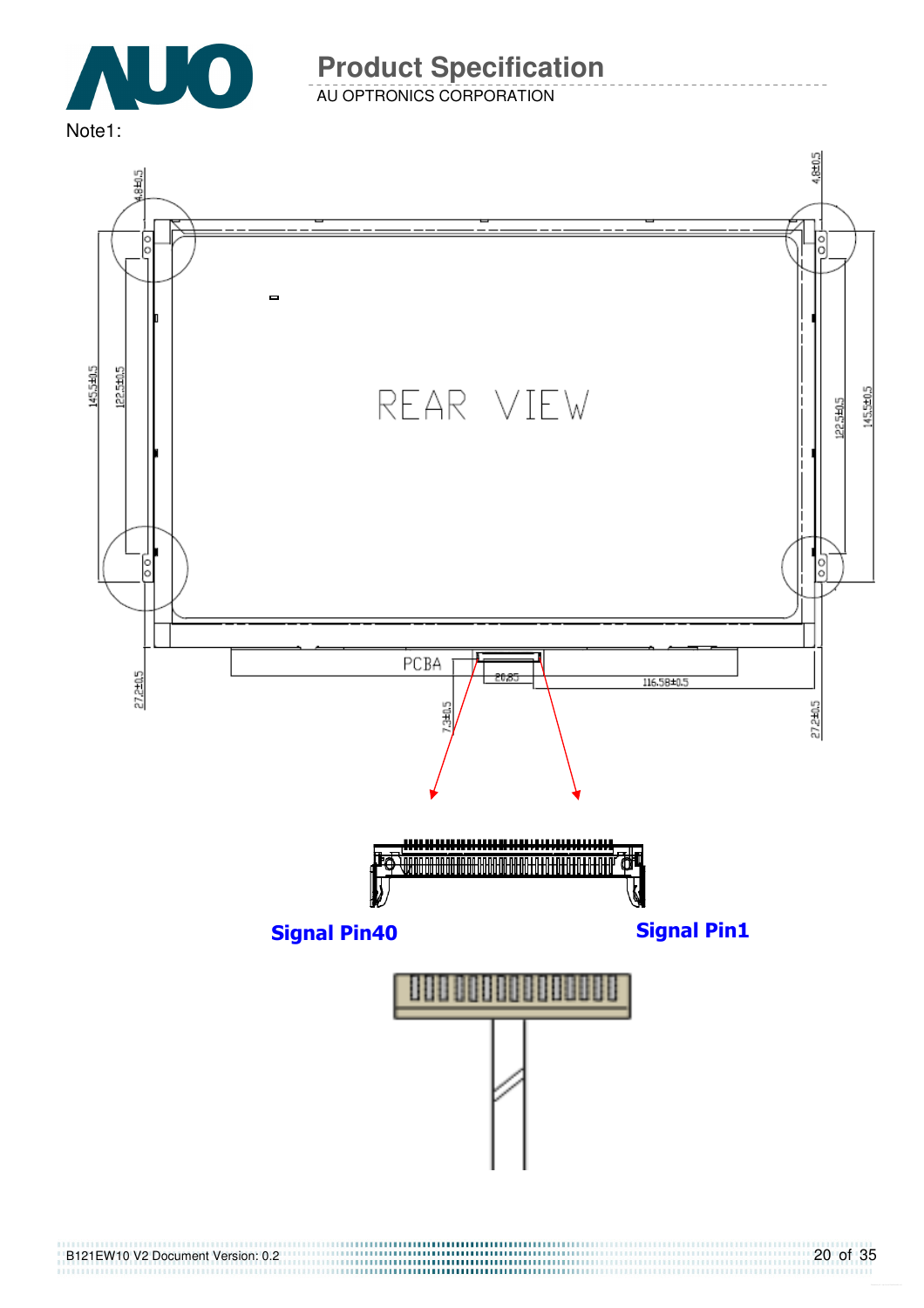

AU OPTRONICS CORPORATION

Note1:

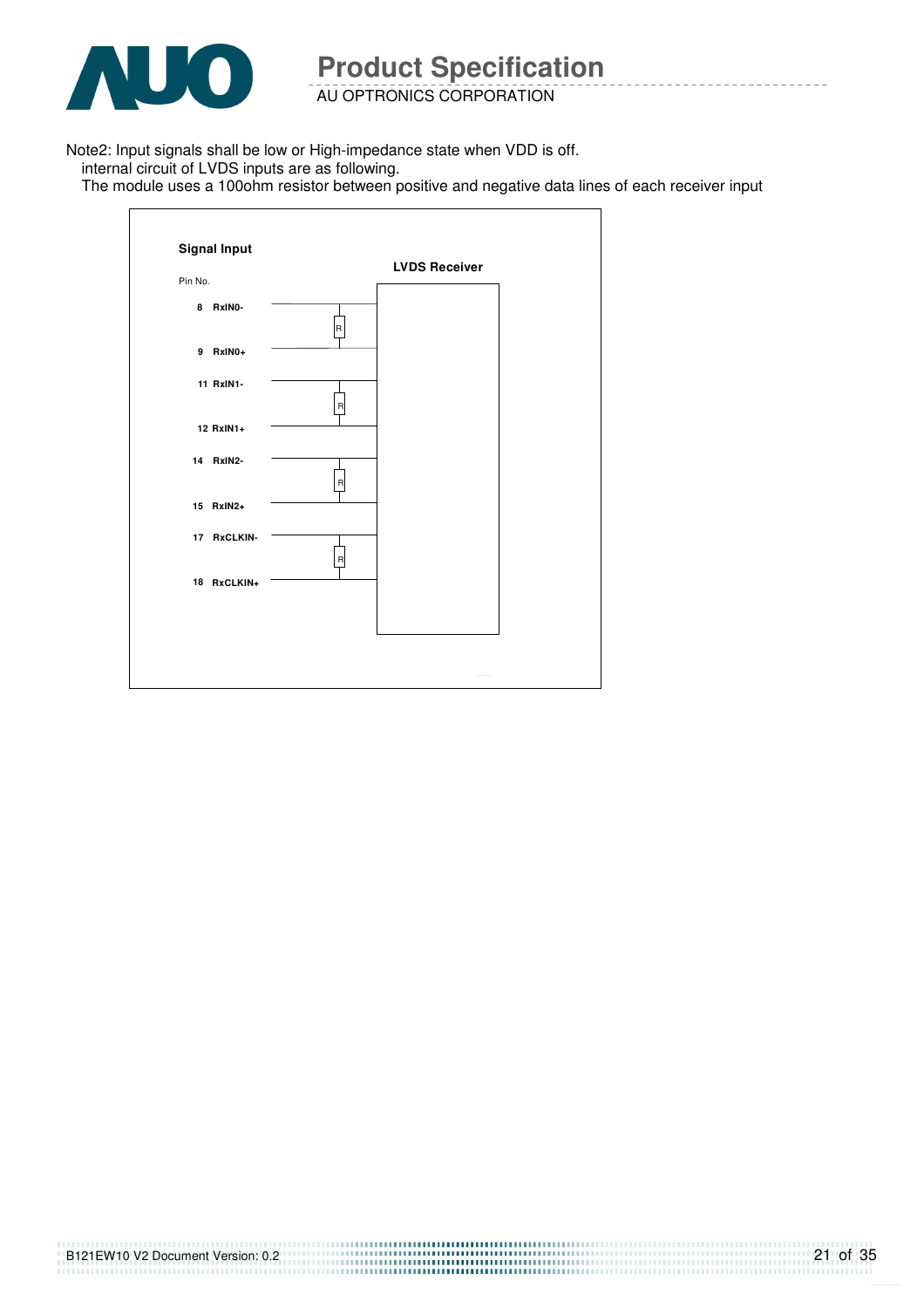

 $\mathbf{r}$ 

**Product Specification** 

AU OPTRONICS CORPORATION

Note2: Input signals shall be low or High-impedance state when VDD is off.

internal circuit of LVDS inputs are as following.

The module uses a 100ohm resistor between positive and negative data lines of each receiver input

|             |                | <b>LVDS Receiver</b> |  |
|-------------|----------------|----------------------|--|
| Pin No.     |                |                      |  |
| 8 RxINO-    | $\overline{R}$ |                      |  |
| 9 RxIN0+    |                |                      |  |
| 11 RxIN1-   | $\mathsf R$    |                      |  |
| 12 RxIN1+   |                |                      |  |
| 14 RxIN2-   | $\mathsf{R}$   |                      |  |
| 15 RxIN2+   |                |                      |  |
| 17 RxCLKIN- | $\mathsf{R}$   |                      |  |
| 18 RxCLKIN+ |                |                      |  |
|             |                |                      |  |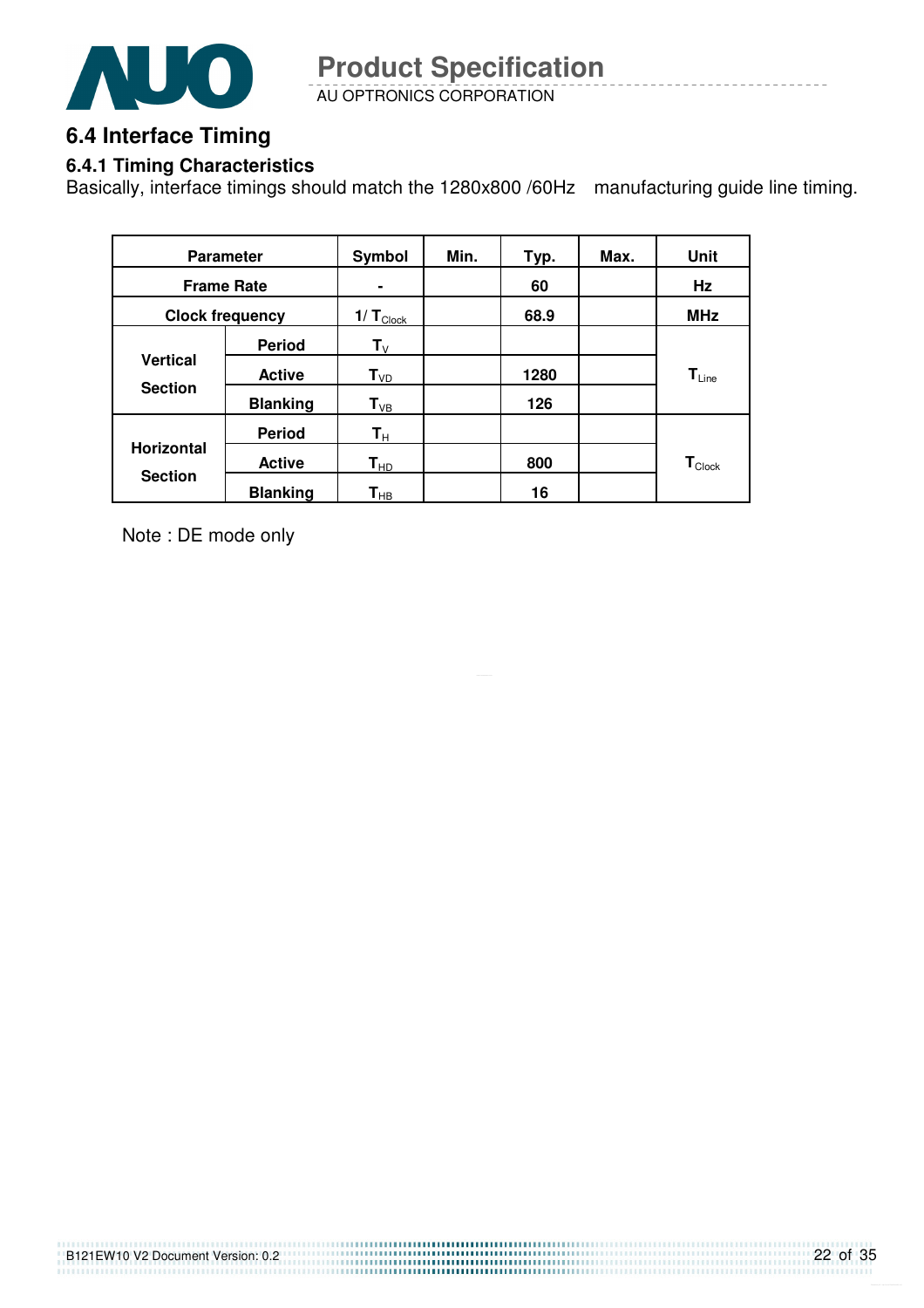

AU OPTRONICS CORPORATION **Product Specification** 

## **6.4 Interface Timing**

#### **6.4.1 Timing Characteristics**

Basically, interface timings should match the 1280x800 /60Hz manufacturing guide line timing.

| <b>Parameter</b>                  |                 | Symbol                     | Min. | Typ. | Max. | Unit                        |
|-----------------------------------|-----------------|----------------------------|------|------|------|-----------------------------|
| <b>Frame Rate</b>                 |                 |                            |      | 60   |      | Hz                          |
| <b>Clock frequency</b>            |                 | 1/ $T_{\text{Clock}}$      |      | 68.9 |      | <b>MHz</b>                  |
|                                   | <b>Period</b>   | $\mathsf{T}_\mathsf{V}$    |      |      |      |                             |
| <b>Vertical</b><br><b>Section</b> | <b>Active</b>   | $T_{VD}$                   |      | 1280 |      | $T_{Line}$                  |
|                                   | <b>Blanking</b> | $T_{VB}$                   |      | 126  |      |                             |
|                                   | <b>Period</b>   | $\mathsf{T}_\mathsf{H}$    |      |      |      |                             |
| <b>Horizontal</b>                 | <b>Active</b>   | $T_{HD}$                   |      | 800  |      | $\mathbf{T}_{\text{Clock}}$ |
| <b>Section</b>                    | <b>Blanking</b> | $\mathsf{T}_{\mathsf{HB}}$ |      | 16   |      |                             |

Note : DE mode only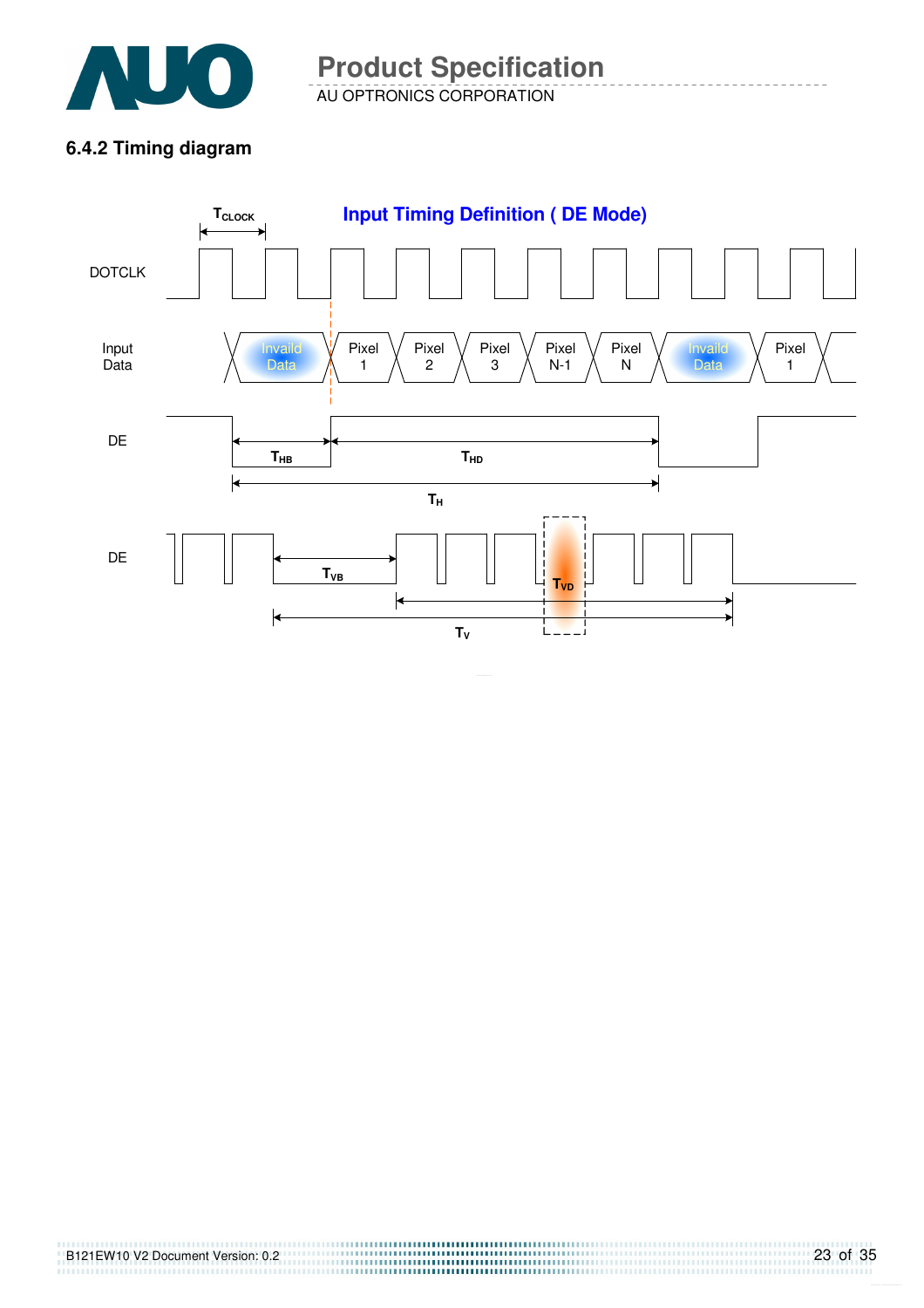

AU OPTRONICS CORPORATION **Product Specification** 

#### **6.4.2 Timing diagram**

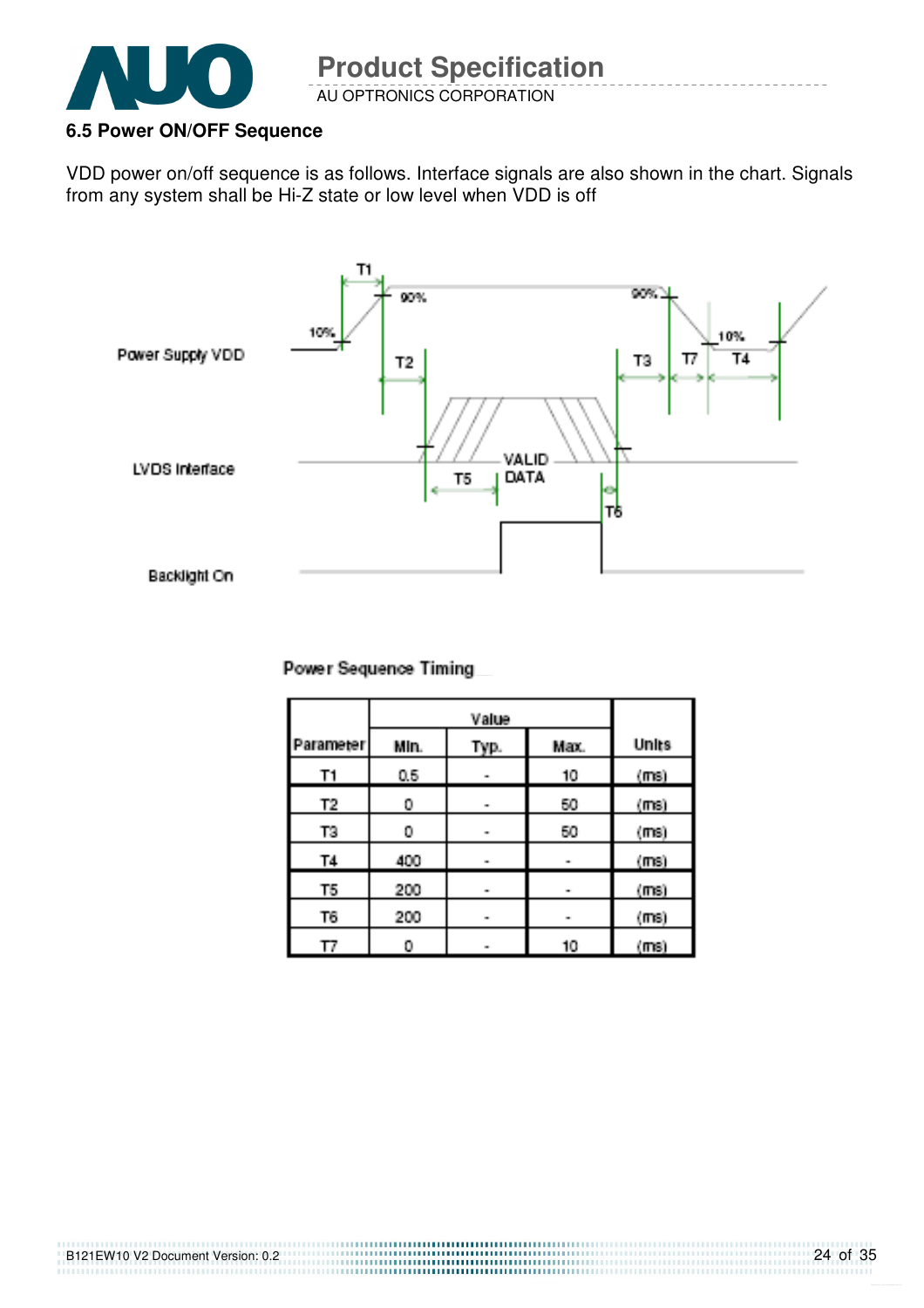

B121EW10 V2 Document Version: 0.2

#### **6.5 Power ON/OFF Sequence**

VDD power on/off sequence is as follows. Interface signals are also shown in the chart. Signals from any system shall be Hi-Z state or low level when VDD is off



| Parameter | Min. | Typ. | Max. | Units   |
|-----------|------|------|------|---------|
| T1        | 0.5  | m.   | 10   | (ms)    |
| T2.       | 0    | m.   | 50   | (ms)    |
| TЗ        | 0    | m.   | 50   | (ms)    |
| <b>T4</b> | 400  | m.   |      | (ms)    |
| T5        | 200  | m.   | œ.   | $(m_3)$ |
| T6        | 200  | m.   | œ.   | (ms)    |
| ŢΖ        | 0    | œ.   | 10   | (maj)   |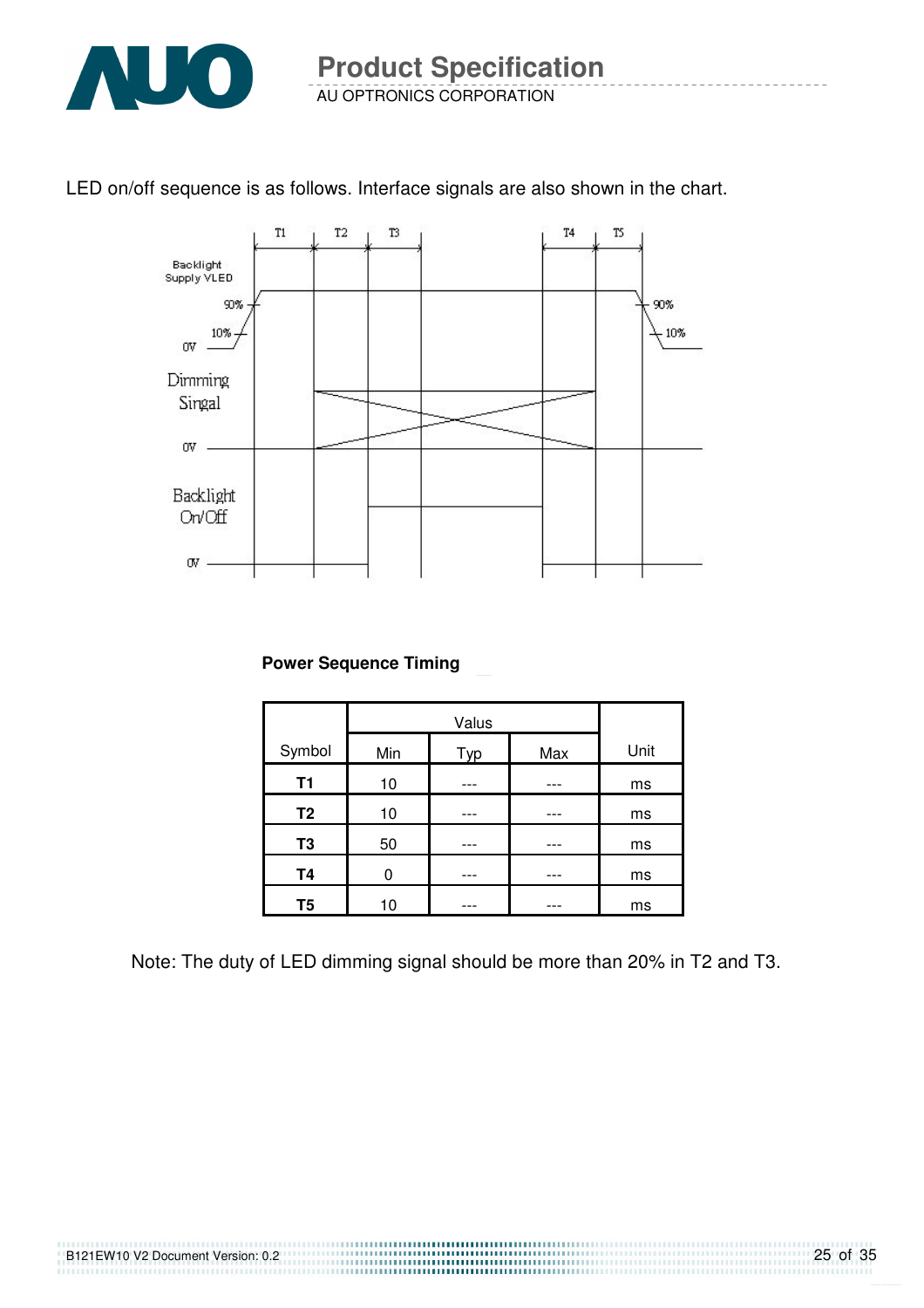

#### LED on/off sequence is as follows. Interface signals are also shown in the chart.



**Power Sequence Timing** 

| Symbol         | Min | Typ | Max | Unit |
|----------------|-----|-----|-----|------|
| <b>T1</b>      | 10  |     |     | ms   |
| T <sub>2</sub> | 10  |     |     | ms   |
| T <sub>3</sub> | 50  |     |     | ms   |
| <b>T4</b>      | ი   |     |     | ms   |
| T <sub>5</sub> | 10  |     |     | ms   |

Note: The duty of LED dimming signal should be more than 20% in T2 and T3.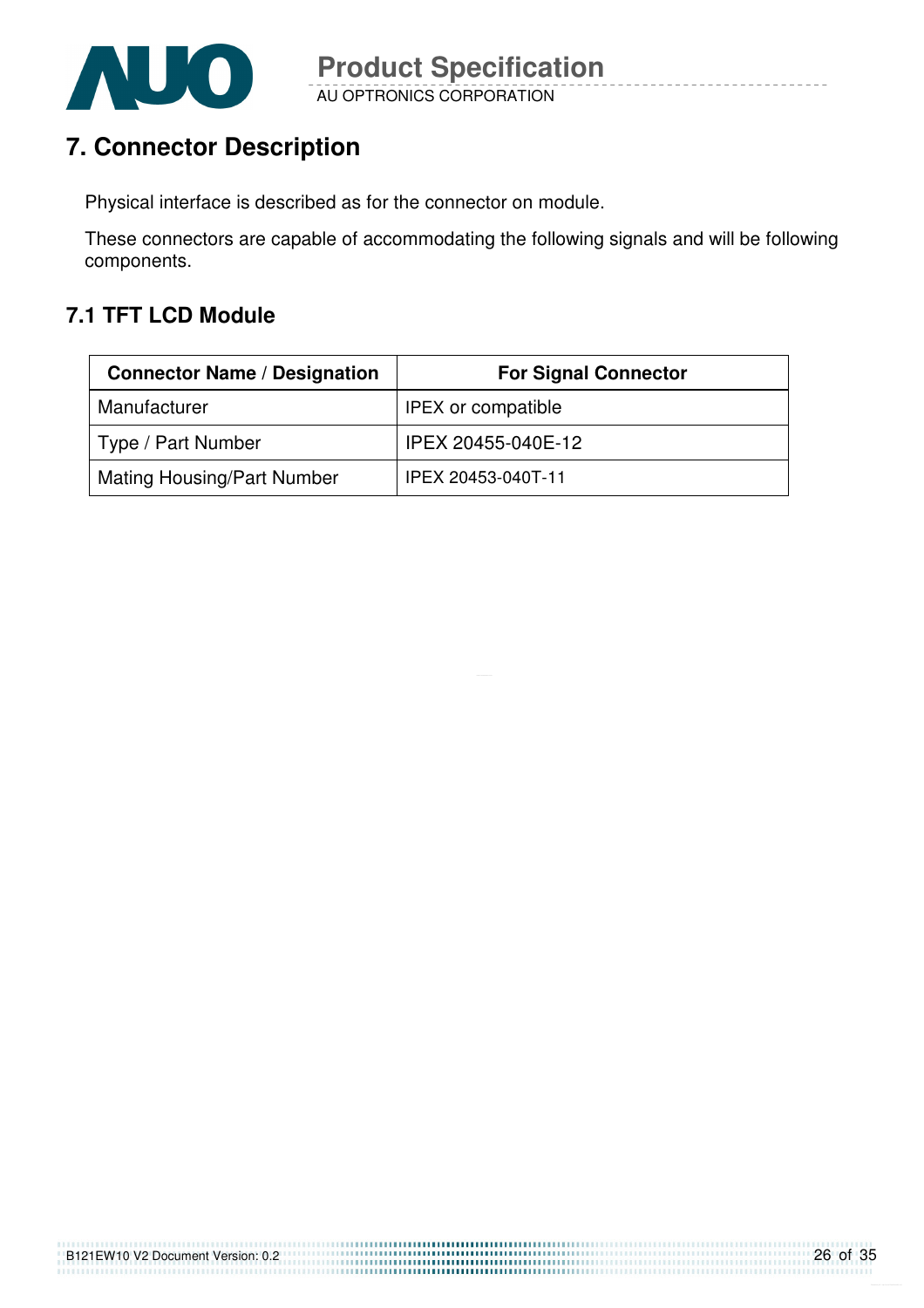

# **7. Connector Description**

Physical interface is described as for the connector on module.

These connectors are capable of accommodating the following signals and will be following components.

## **7.1 TFT LCD Module**

| <b>Connector Name / Designation</b> | <b>For Signal Connector</b> |
|-------------------------------------|-----------------------------|
| Manufacturer                        | <b>IPEX or compatible</b>   |
| Type / Part Number                  | IPEX 20455-040E-12          |
| <b>Mating Housing/Part Number</b>   | IPEX 20453-040T-11          |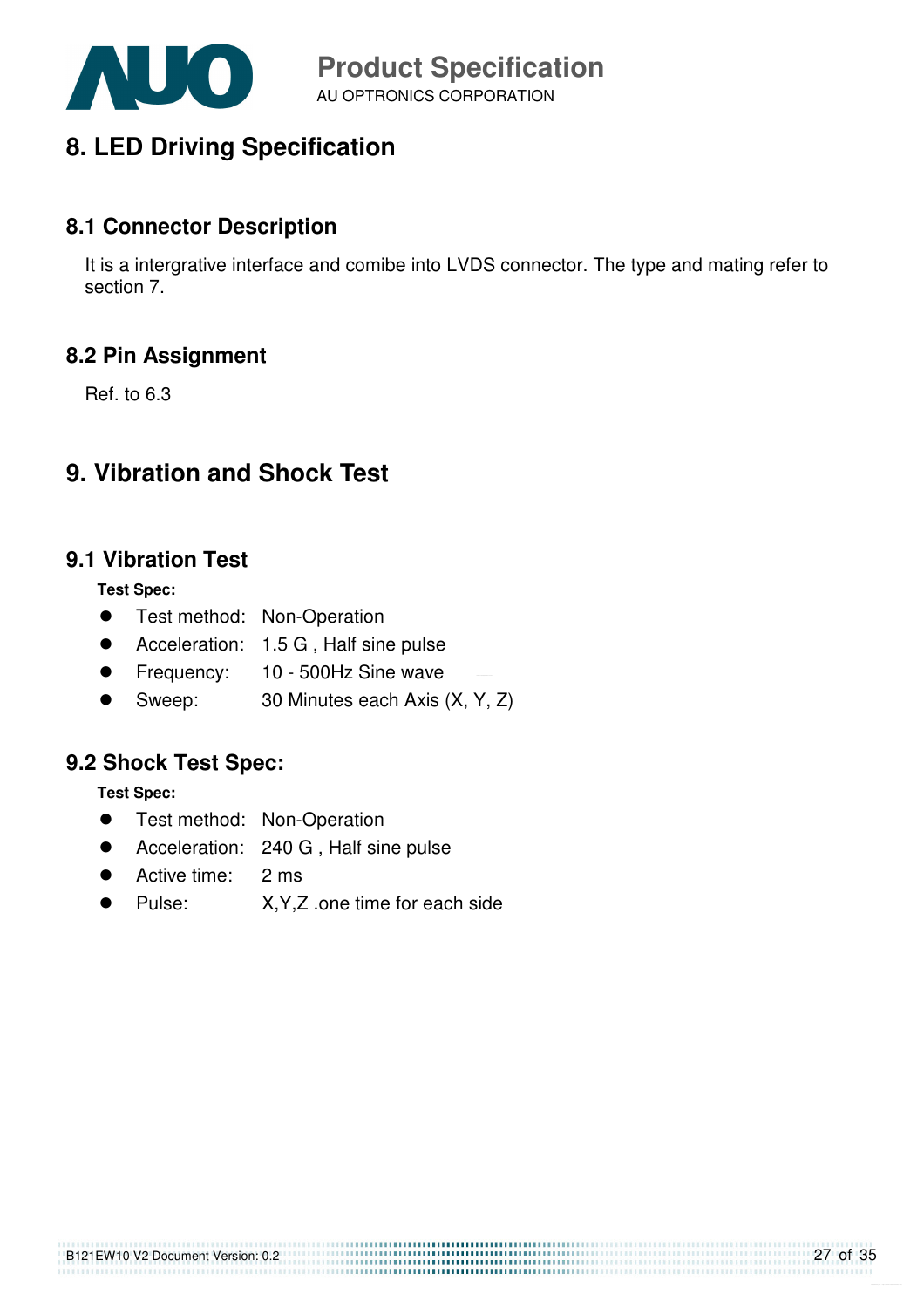

# **8. LED Driving Specification**

#### **8.1 Connector Description**

It is a intergrative interface and comibe into LVDS connector. The type and mating refer to section 7.

#### **8.2 Pin Assignment**

Ref. to 6.3

## **9. Vibration and Shock Test**

#### **9.1 Vibration Test**

**Test Spec:** 

- **•** Test method: Non-Operation
- Acceleration: 1.5 G, Half sine pulse
- **•** Frequency: 10 500Hz Sine wave
- Sweep: 30 Minutes each Axis (X, Y, Z)

#### **9.2 Shock Test Spec:**

**Test Spec:** 

- **•** Test method: Non-Operation
- Acceleration: 240 G, Half sine pulse
- Active time: 2 ms
- Pulse: X,Y,Z .one time for each side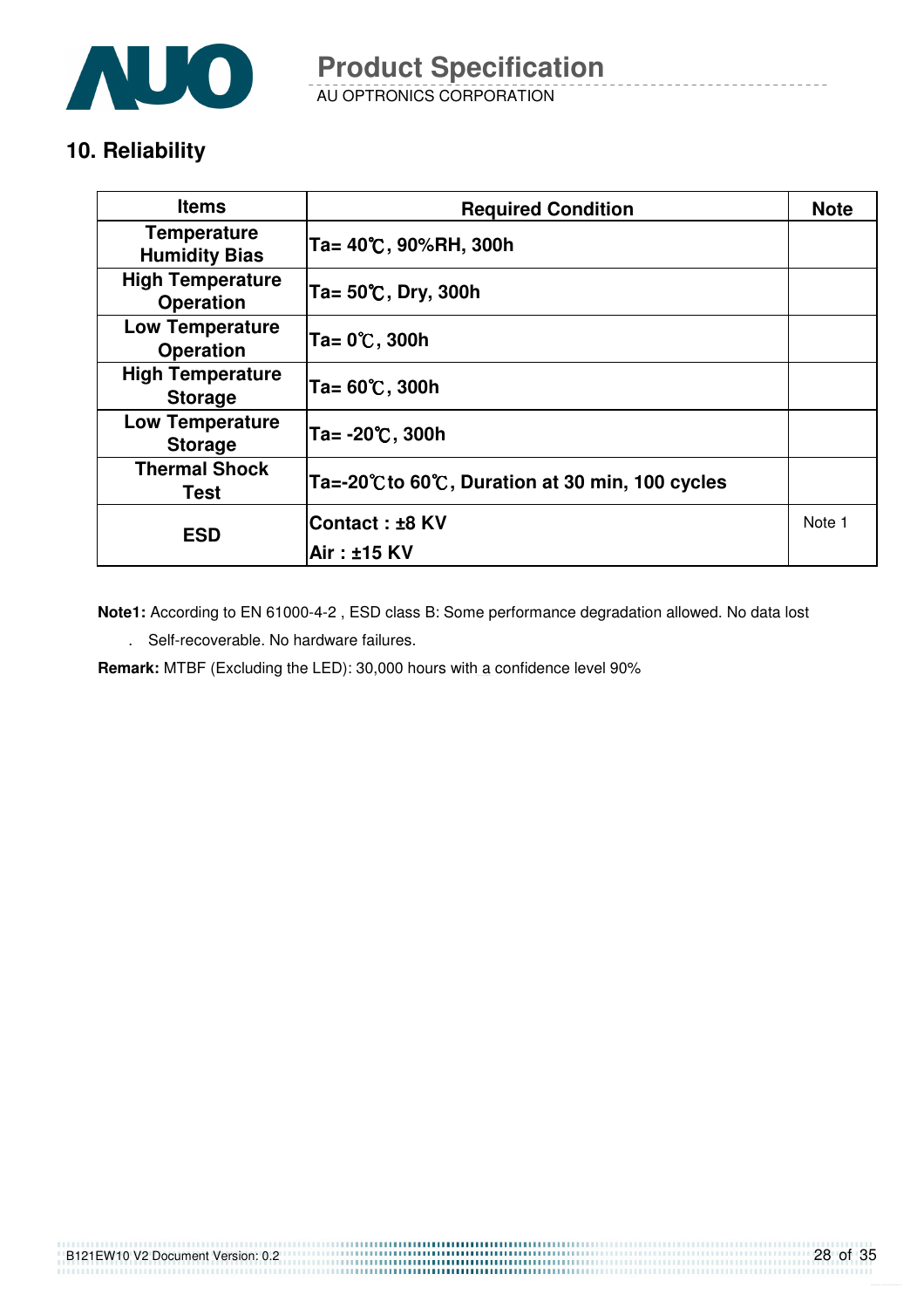

AU OPTRONICS CORPORATION **Product Specification** 

## **10. Reliability**

| <b>Items</b>                                | <b>Required Condition</b>                     | <b>Note</b> |
|---------------------------------------------|-----------------------------------------------|-------------|
| <b>Temperature</b><br><b>Humidity Bias</b>  | Ta= 40℃, 90%RH, 300h                          |             |
| <b>High Temperature</b><br><b>Operation</b> | Ta= 50℃, Dry, 300h                            |             |
| <b>Low Temperature</b><br><b>Operation</b>  | Ta= 0℃, 300h                                  |             |
| <b>High Temperature</b><br><b>Storage</b>   | Ta= 60℃, 300h                                 |             |
| <b>Low Temperature</b><br><b>Storage</b>    | Ta= -20℃, 300h                                |             |
| <b>Thermal Shock</b><br>Test                | Ta=-20℃to 60℃, Duration at 30 min, 100 cycles |             |
| <b>ESD</b>                                  | ∣Contact : ±8 KV                              | Note 1      |
|                                             | Air : ±15 KV                                  |             |

**Note1:** According to EN 61000-4-2 , ESD class B: Some performance degradation allowed. No data lost

. Self-recoverable. No hardware failures.

**Remark:** MTBF (Excluding the LED): 30,000 hours with a confidence level 90%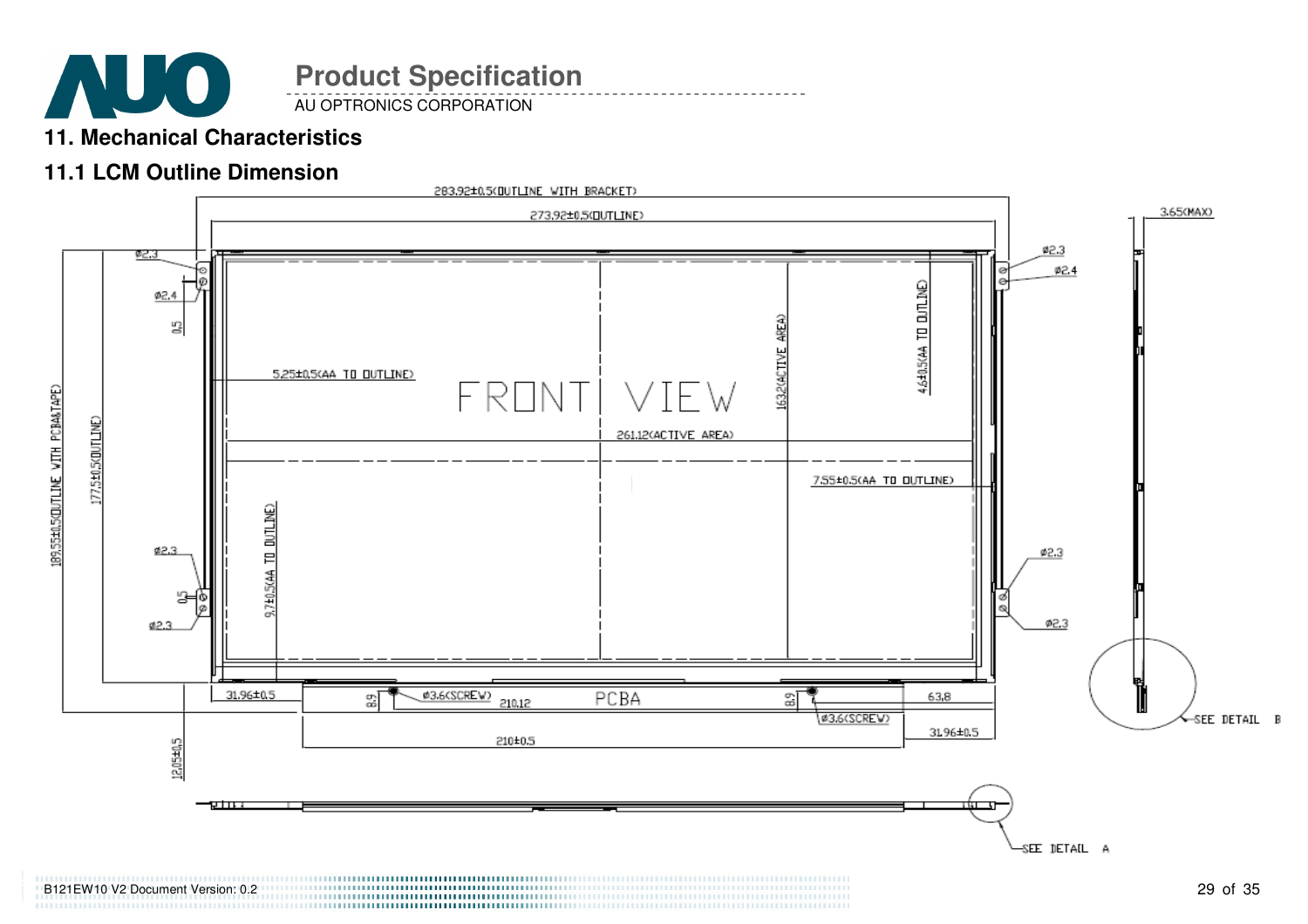

AU OPTRONICS CORPORATION

## **11. Mechanical Characteristics**

## **11.1 LCM Outline Dimension**

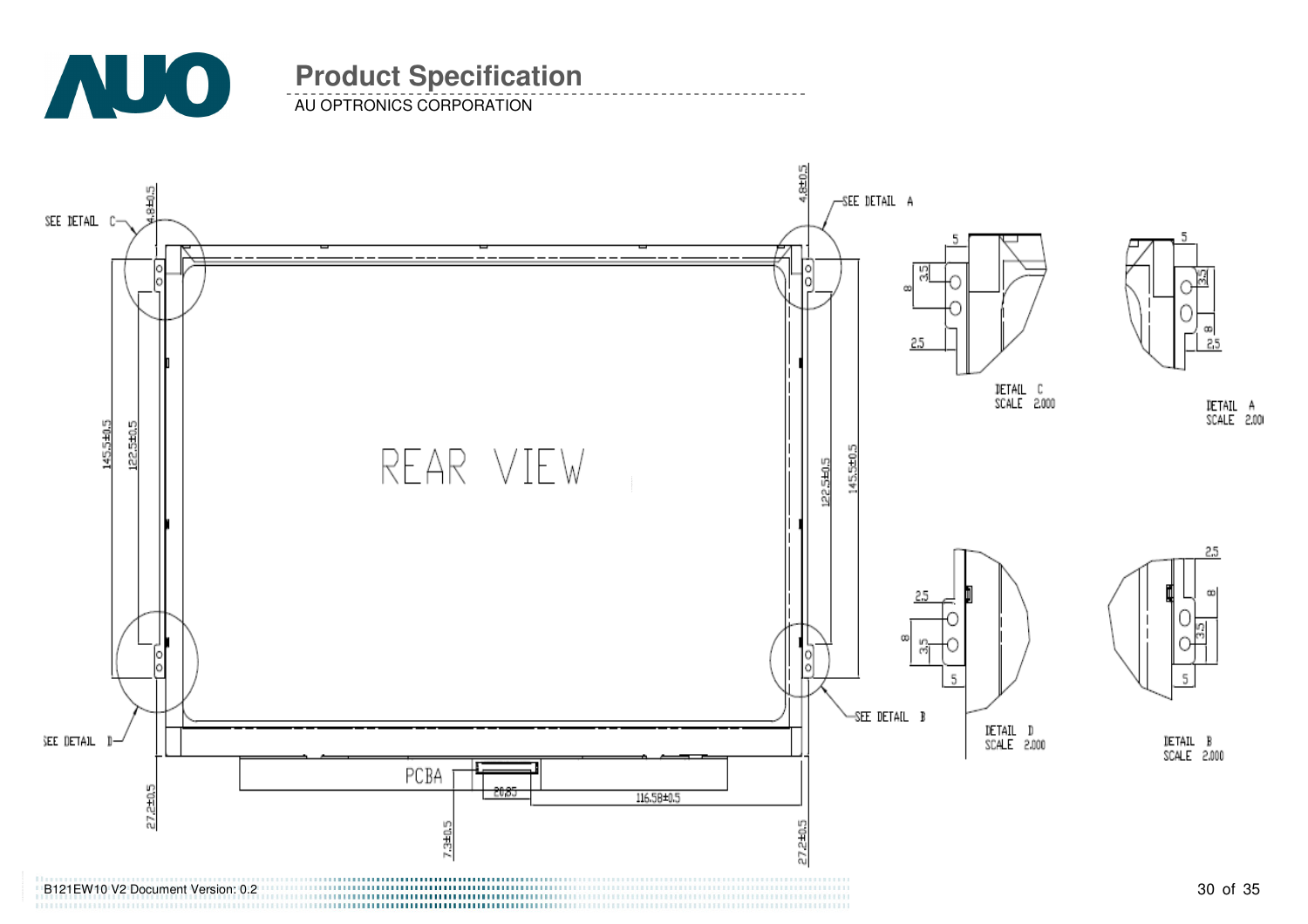

AU OPTRONICS CORPORATION

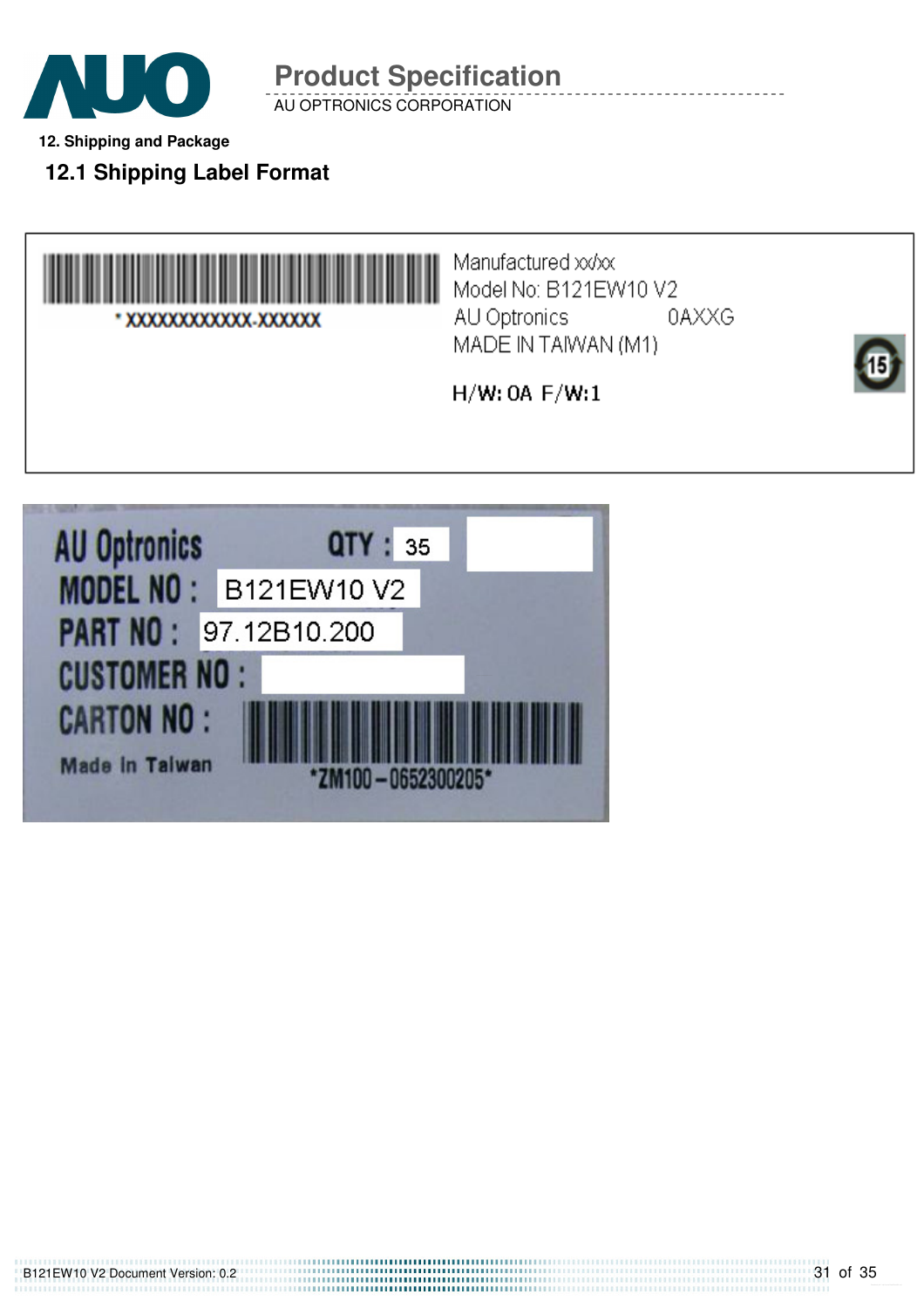

AU OPTRONICS CORPORATION

**12. Shipping and Package** 

**12.1 Shipping Label Format** 



Manufactured xx/xx Model No: B121EW10 V2 AU Optronics 0AXXG MADE IN TAIWAN (M1)

 $H/W:$  OA  $F/W:1$ 

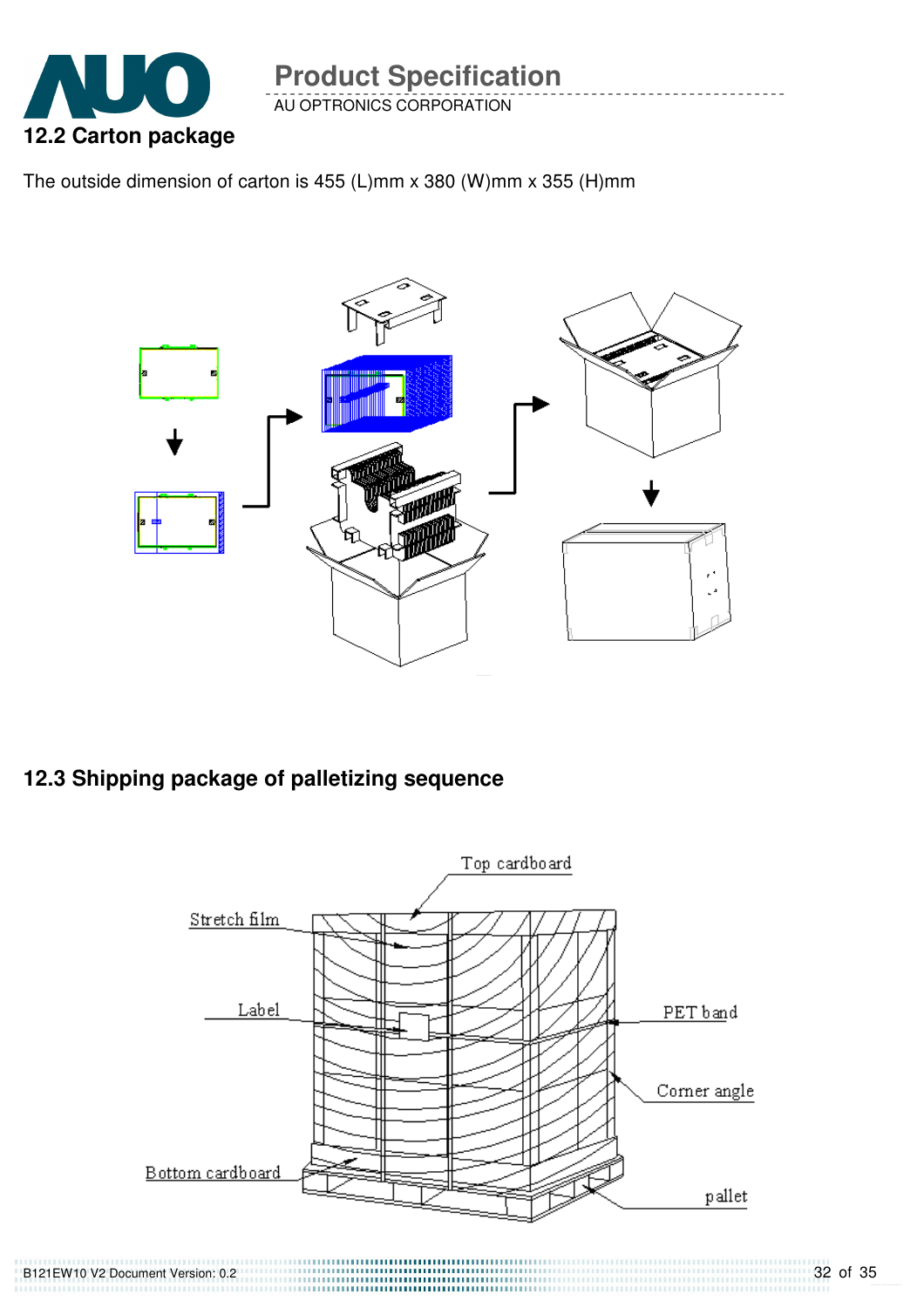

AU OPTRONICS CORPORATION

The outside dimension of carton is 455 (L)mm x 380 (W)mm x 355 (H)mm



## **12.3 Shipping package of palletizing sequence**

B121EW10 V2 Document Version: 0.2



,,,,,,,,,,,,,,,,,,,,,,,,,,,,,,,,,,,,,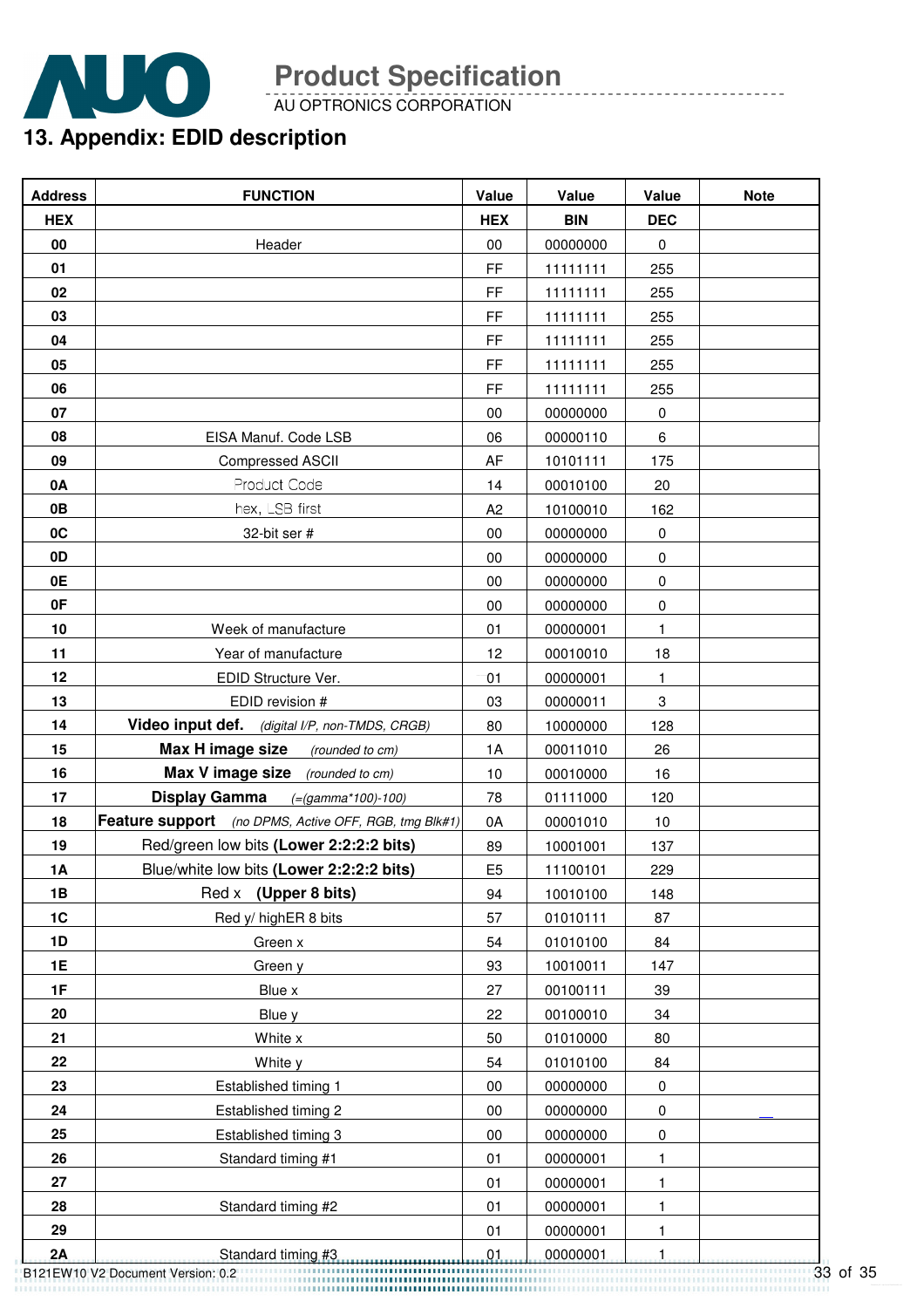

AU OPTRONICS CORPORATION

## **13. Appendix: EDID description**

| <b>Address</b> | <b>FUNCTION</b>                                       | Value          | Value      | Value       | <b>Note</b> |
|----------------|-------------------------------------------------------|----------------|------------|-------------|-------------|
| <b>HEX</b>     |                                                       | <b>HEX</b>     | <b>BIN</b> | <b>DEC</b>  |             |
| 00             | Header                                                | 00             | 00000000   | $\mathbf 0$ |             |
| 01             |                                                       | FF             | 11111111   | 255         |             |
| 02             |                                                       | FF             | 11111111   | 255         |             |
| 03             |                                                       | FF             | 11111111   | 255         |             |
| 04             |                                                       | FF             | 11111111   | 255         |             |
| 05             |                                                       | FF             | 11111111   | 255         |             |
| 06             |                                                       | FF             | 11111111   | 255         |             |
| 07             |                                                       | 00             | 00000000   | 0           |             |
| 08             | EISA Manuf. Code LSB                                  | 06             | 00000110   | 6           |             |
| 09             | <b>Compressed ASCII</b>                               | AF             | 10101111   | 175         |             |
| 0A             | Product Code                                          | 14             | 00010100   | 20          |             |
| 0B             | hex, LSB first                                        | A <sub>2</sub> | 10100010   | 162         |             |
| 0C             | 32-bit ser #                                          | 00             | 00000000   | 0           |             |
| 0D             |                                                       | 00             | 00000000   | 0           |             |
| 0E             |                                                       | 00             | 00000000   | 0           |             |
| 0F             |                                                       | 00             | 00000000   | $\pmb{0}$   |             |
| 10             | Week of manufacture                                   | 01             | 00000001   | 1           |             |
| 11             | Year of manufacture                                   | 12             | 00010010   | 18          |             |
| 12             | EDID Structure Ver.                                   | 01             | 00000001   | 1.          |             |
| 13             | EDID revision #                                       | 03             | 00000011   | 3           |             |
| 14             | Video input def. (digital I/P, non-TMDS, CRGB)        | 80             | 10000000   | 128         |             |
| 15             | Max H image size<br>(rounded to cm)                   | 1A             | 00011010   | 26          |             |
| 16             | Max V image size (rounded to cm)                      | 10             | 00010000   | 16          |             |
| 17             | <b>Display Gamma</b><br>$(=(gamma*100)-100)$          | 78             | 01111000   | 120         |             |
| 18             | Feature support (no DPMS, Active OFF, RGB, tmg Blk#1) | 0A             | 00001010   | 10          |             |
| 19             | Red/green low bits (Lower 2:2:2:2 bits)               | 89             | 10001001   | 137         |             |
| 1A             | Blue/white low bits (Lower 2:2:2:2 bits)              | E <sub>5</sub> | 11100101   | 229         |             |
| 1B             | Red x (Upper 8 bits)                                  | 94             | 10010100   | 148         |             |
| 1C             | Red y/ highER 8 bits                                  | 57             | 01010111   | 87          |             |
| 1D             | Green x                                               | 54             | 01010100   | 84          |             |
| 1E             | Green y                                               | 93             | 10010011   | 147         |             |
| 1F             | Blue x                                                | 27             | 00100111   | 39          |             |
| 20             | Blue y                                                | 22             | 00100010   | 34          |             |
| 21             | White x                                               | 50             | 01010000   | 80          |             |
| 22             | White y                                               | 54             | 01010100   | 84          |             |
| 23             | Established timing 1                                  | 00             | 00000000   | 0           |             |
| 24             | Established timing 2                                  | 00             | 00000000   | 0           |             |
| 25             | Established timing 3                                  | $00\,$         | 00000000   | 0           |             |
| 26             | Standard timing #1                                    | 01             | 00000001   | 1           |             |
| 27             |                                                       | 01             | 00000001   | 1           |             |
| 28             | Standard timing #2                                    | 01             | 00000001   | 1           |             |
| 29             |                                                       | 01             | 00000001   | 1           |             |
| 2A             | Standard timing #3                                    | .01            | 00000001   | 1           |             |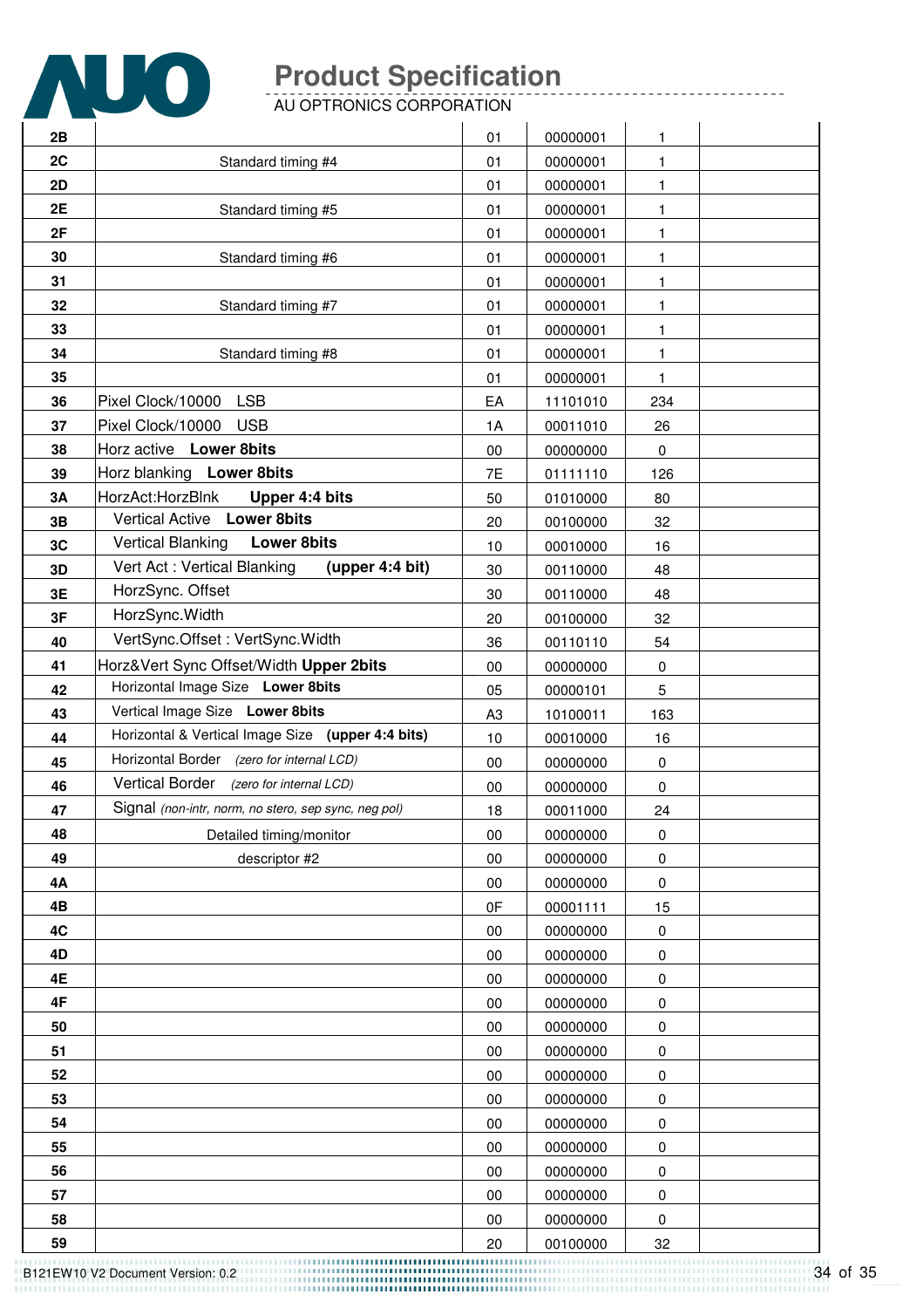

AU OPTRONICS CORPORATION

| 2B |                                                      |                | 00000001 | 1         |  |
|----|------------------------------------------------------|----------------|----------|-----------|--|
| 2C | Standard timing #4                                   | 01<br>01       | 00000001 | 1         |  |
| 2D |                                                      | 01             | 00000001 | 1         |  |
| 2E | Standard timing #5                                   | 01             | 00000001 | 1         |  |
| 2F |                                                      | 01             | 00000001 | 1         |  |
| 30 | Standard timing #6                                   | 01             | 00000001 | 1         |  |
| 31 |                                                      | 01             | 00000001 | 1         |  |
| 32 | Standard timing #7                                   | 01             | 00000001 | 1         |  |
| 33 |                                                      | 01             | 00000001 | 1         |  |
| 34 |                                                      | 01             | 00000001 | 1         |  |
| 35 | Standard timing #8                                   | 01             | 00000001 | 1         |  |
| 36 | Pixel Clock/10000<br><b>LSB</b>                      | EA             | 11101010 | 234       |  |
| 37 | Pixel Clock/10000<br><b>USB</b>                      | 1A             | 00011010 | 26        |  |
| 38 | Horz active Lower 8bits                              | $00\,$         | 00000000 |           |  |
| 39 | Horz blanking Lower 8bits                            | 7E             | 01111110 | 0<br>126  |  |
| 3A | HorzAct:HorzBlnk<br>Upper 4:4 bits                   | 50             | 01010000 | 80        |  |
| 3B | Vertical Active Lower 8bits                          |                | 00100000 | 32        |  |
| 3C | Vertical Blanking<br><b>Lower 8bits</b>              | 20             | 00010000 |           |  |
| 3D | Vert Act: Vertical Blanking<br>(upper 4:4 bit)       | 10<br>30       | 00110000 | 16<br>48  |  |
| 3E | HorzSync. Offset                                     |                | 00110000 | 48        |  |
| 3F | HorzSync.Width                                       | 30<br>20       | 00100000 | 32        |  |
| 40 | VertSync.Offset: VertSync.Width                      | 36             | 00110110 | 54        |  |
| 41 | Horz‖ Sync Offset/Width Upper 2bits                  | 00             | 00000000 | 0         |  |
| 42 | Horizontal Image Size Lower 8bits                    | 05             | 00000101 | 5         |  |
| 43 | Vertical Image Size Lower 8bits                      | A <sub>3</sub> | 10100011 | 163       |  |
| 44 | Horizontal & Vertical Image Size (upper 4:4 bits)    | 10             | 00010000 | 16        |  |
| 45 | Horizontal Border (zero for internal LCD)            | $00\,$         | 00000000 | $\pmb{0}$ |  |
| 46 | Vertical Border (zero for internal LCD)              | 00             | 00000000 | 0         |  |
| 47 | Signal (non-intr, norm, no stero, sep sync, neg pol) | 18             | 00011000 | 24        |  |
| 48 | Detailed timing/monitor                              | 00             | 00000000 | 0         |  |
| 49 | descriptor #2                                        | 00             | 00000000 | 0         |  |
| 4Α |                                                      | $00\,$         | 00000000 | 0         |  |
| 4B |                                                      | 0F             | 00001111 | 15        |  |
| 4C |                                                      | 00             | 00000000 | 0         |  |
| 4D |                                                      | 00             | 00000000 | 0         |  |
| 4E |                                                      | 00             | 00000000 | 0         |  |
| 4F |                                                      | $00\,$         | 00000000 | 0         |  |
| 50 |                                                      | 00             | 00000000 | 0         |  |
| 51 |                                                      | $00\,$         | 00000000 | 0         |  |
| 52 |                                                      | $00\,$         | 00000000 | 0         |  |
| 53 |                                                      | 00             | 00000000 | 0         |  |
| 54 |                                                      | $00\,$         | 00000000 | 0         |  |
| 55 |                                                      | $00\,$         | 00000000 | 0         |  |
| 56 |                                                      | $00\,$         | 00000000 | 0         |  |
| 57 |                                                      | 00             | 00000000 | 0         |  |
| 58 |                                                      | 00             | 00000000 | 0         |  |
| 59 |                                                      | 20             | 00100000 | 32        |  |
|    |                                                      |                |          |           |  |